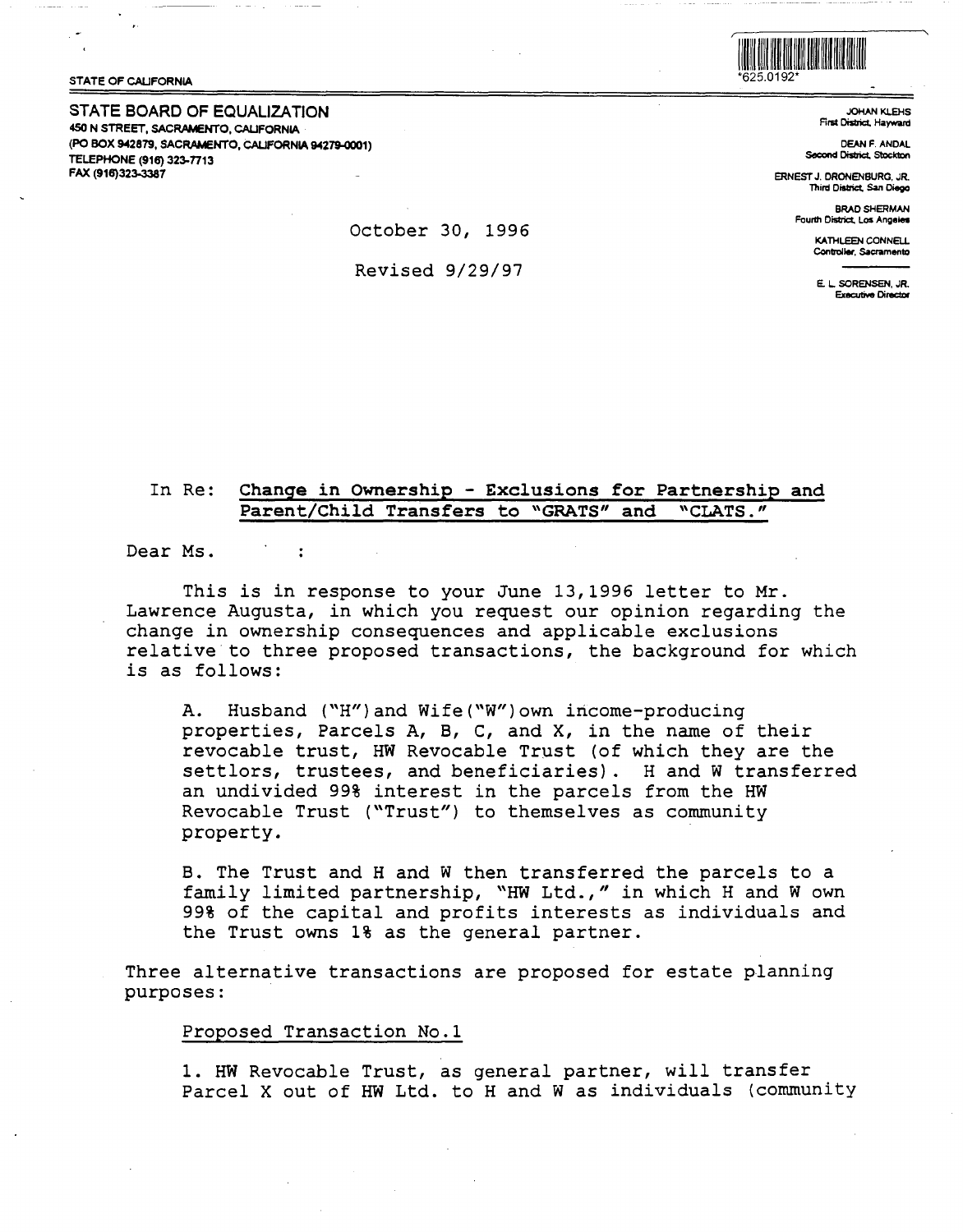

STATE OF CALIFORNIA

**STATE BOARD OF EQUALIZATION 450 N STREET, SACRAMENTO, CALIFORNIA (PO BOX 942879, SACRAMENTO, CALIFORNIA 94279-0001) TELEPHONE (916) 323-TT13 FAX (916)323-3387** 

JOHANKLEHS First District, Hayward

DEAN F. ANDAL Second District, Stockton

ERNEST J. DRONENBURG, JR. Third District. San Diego

> BRAD SHERMAN Four111 District, Los **Angeles**

> > KATHI EEN CONNELL Controller, Sacramento

E. L SORENSEN, JR. Executive Director

In Re: Change in Ownership - Exclusions for Partnership and Parent/Child Transfers to "GRATS" and "CLATS."

Dear Ms.

This is in response to your June 13,1996 letter to Mr. Lawrence Augusta, in which you request our opinion regarding the change in ownership consequences and applicable exclusions relative to three proposed transactions, the background for which is as follows:

A. Husband ("H")and Wife("W")own income-producing properties, Parcels A, B, C, and X, in the name of their revocable trust, HW Revocable Trust (of which they are the settlors, trustees, and beneficiaries). H and W transferred an undivided 99% interest in the parcels from the HW Revocable Trust ("Trust") to themselves as community property.

B. The Trust and Hand W then transferred the parcels to a family limited partnership, "HW Ltd.," in which H and W own 99% of the capital and profits interests as individuals and the Trust owns 1% as the general partner.

Three alternative transactions are proposed for estate planning purposes:

#### Proposed Transaction No.1

1. HW Revocable Trust, as general partner, will transfer Parcel X out of HW Ltd. to H and W as individuals (community

October 30, 1996

Revised 9/29/97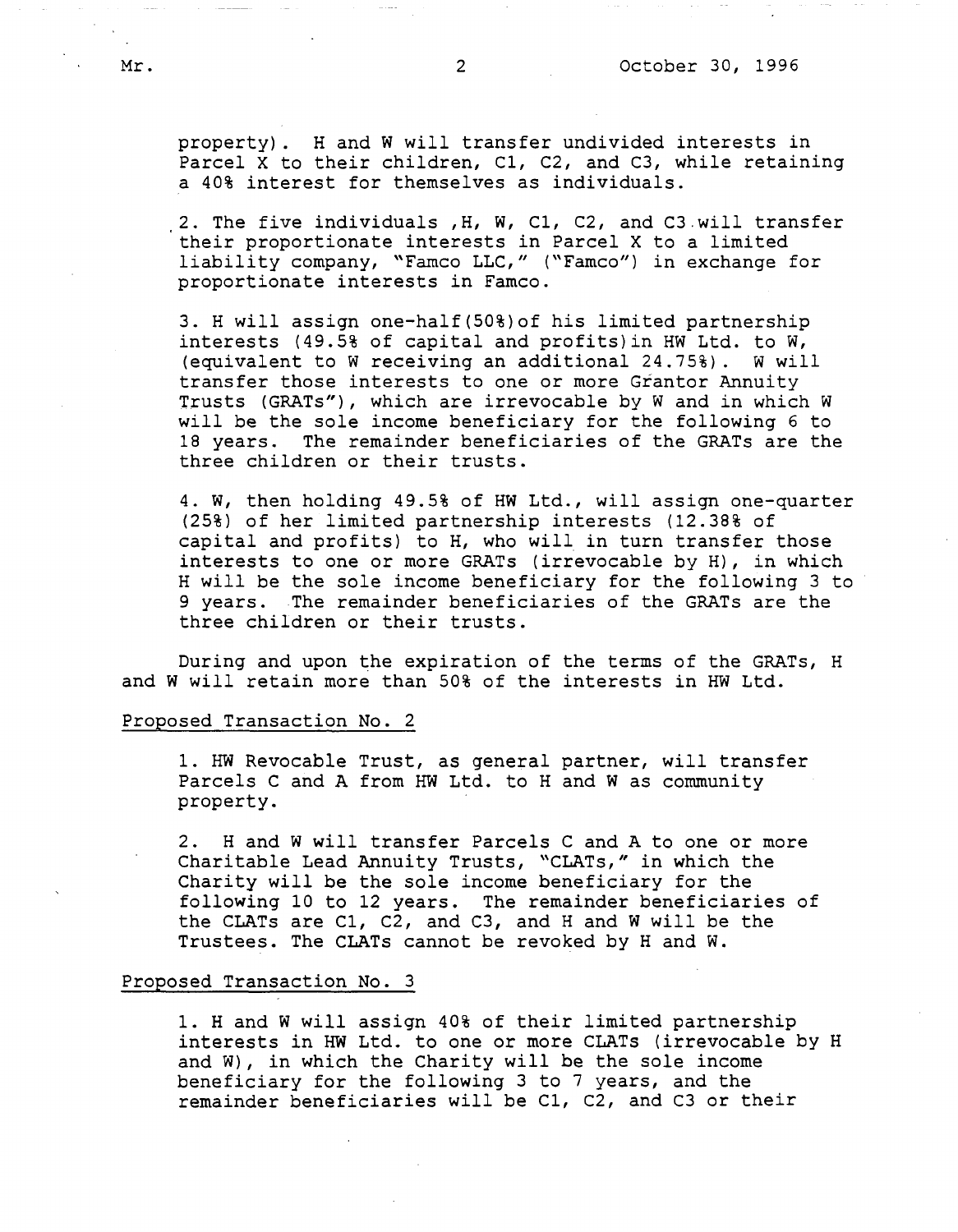property). Hand W will transfer undivided interests in Parcel X to their children, C1, C2, and C3, while retaining a 40% interest for themselves as individuals.

2. The five individuals **,H, W,** Cl, C2, and C3.will transfer their proportionate interests in Parcel X to a limited liability company, "Famco LLC," ("Famco") in exchange for proportionate interests in Famco.

3. H will assign one-half(50%)of his limited partnership interests (49.5% of capital and profits)in HW Ltd. to W, (equivalent to W receiving an additional 24.75%). w will transfer those interests to one or more Grantor Annuity Trusts (GRATs"), which are irrevocable by Wand in which W will be the sole income beneficiary for the following 6 to 18 years. The remainder beneficiaries of the GRATs are the three children or their trusts.

4. W, then holding 49.5% of HW Ltd., will assign one-quarter (25%) of her limited partnership interests (12.38% of capital and profits) to H, who will in turn transfer those interests to one or more GRATs (irrevocable by H), in which H will be the sole income beneficiary for the following 3 to 9 years. The remainder beneficiaries of the GRATs are the three children or their trusts.

During and upon the expiration of the terms of the GRATs, H and W will retain more than 50% of the interests in HW Ltd.

### Proposed Transaction No. 2

1. HW Revocable Trust, as general partner, will transfer Parcels C and A from HW Ltd. to H and W as community property.

2. Hand Wwill transfer Parcels C and A to one or more Charitable Lead Annuity Trusts, "CLATs," in which the Charity will be the sole income beneficiary for the following 10 to 12 years. The remainder beneficiaries of the CLATs are Cl, C2, and C3, and Hand Wwill be the Trustees. The CLATs cannot be revoked by Hand W.

### Proposed Transaction No. 3

1. Hand W will assign 40% of their limited partnership interests in HW Ltd. to one or more CLATs (irrevocable by H and W), in which the Charity will be the sole income beneficiary for the following 3 to 7 years, and the remainder beneficiaries will be Cl, C2, and C3 or their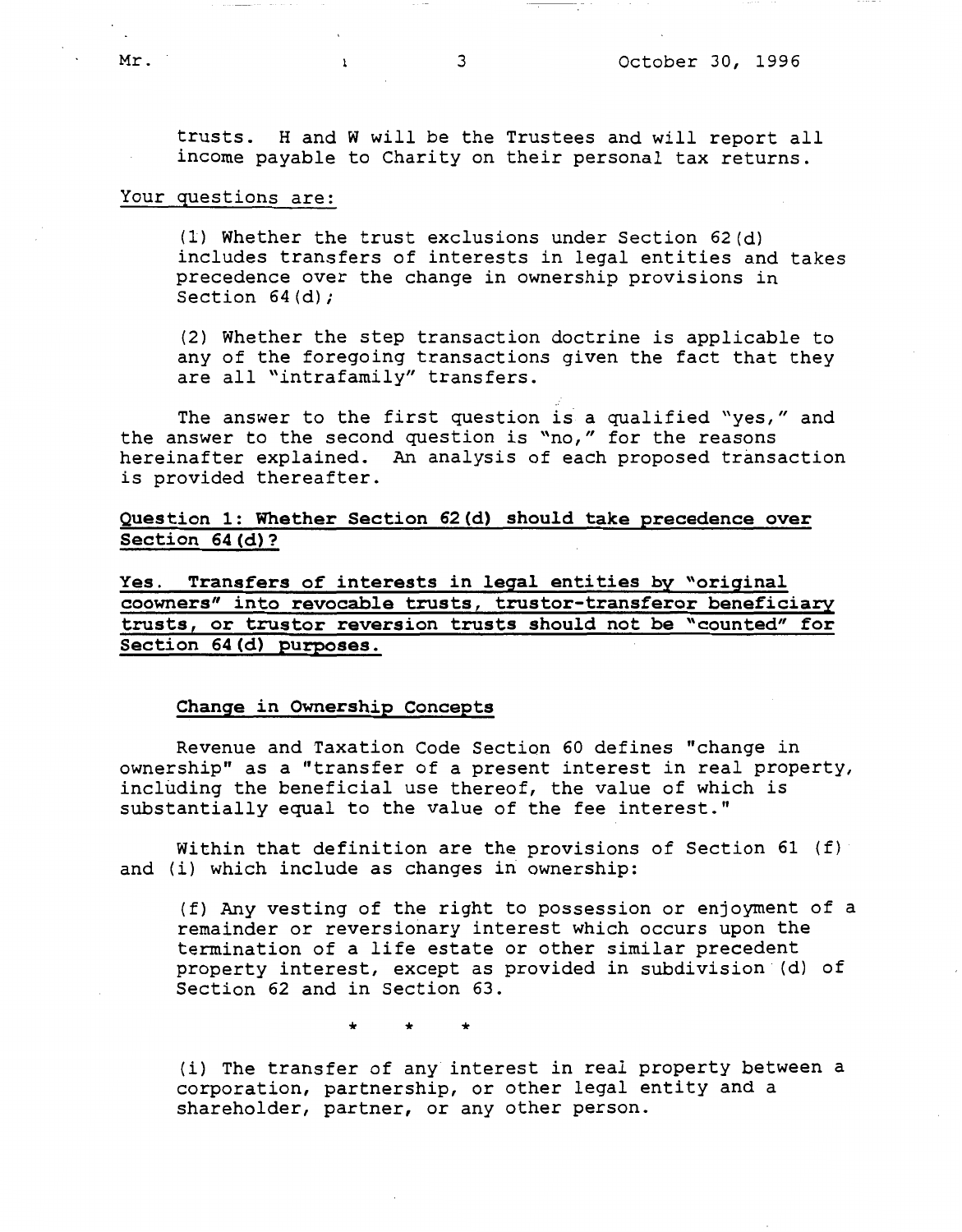trusts. Hand W will be the Trustees and will report all income payable to Charity on their personal tax returns.

## Your questions are:

(1) Whether the trust exclusions under Section 62(d) includes transfers of interests in legal entities and takes precedence over the change in ownership provisions in Section 64(d):

(2) Whether the step transaction doctrine is applicable to any of the foregoing transactions given the fact that they are all "intrafamily" transfers.

The answer to the first question is a qualified "yes," and the answer to the second question is "no," for the reasons hereinafter explained. An analysis of each proposed transaction is provided thereafter.

**Question 1: Whether Section 62(d) should take precedence over Section 64(d)?** 

**Yes. Transfers of interests in legal entities by "original coowners" into revocable trusts, truster-transferor beneficiary trusts, or truster reversion trusts should not be "counted" for Section 64(d) purposes.** 

### **Change in Ownership Concepts**

Revenue and Taxation Code Section 60 defines "change in ownership" as a "transfer of a present interest in real property, including the beneficial use thereof, the value of which is substantially equal to the value of the fee interest."

Within that definition are the provisions of Section 61 (f) and (i) which include as changes in ownership:

(f) Any vesting of the right to possession or enjoyment of a remainder or reversionary interest which occurs upon the termination of a life estate or other similar precedent property interest, except as provided in subdivision (d) of Section 62 and in Section 63.

\* \* \*

(i) The transfer of any interest in real property between a corporation, partnership, or other legal entity and a shareholder, partner, or any other person.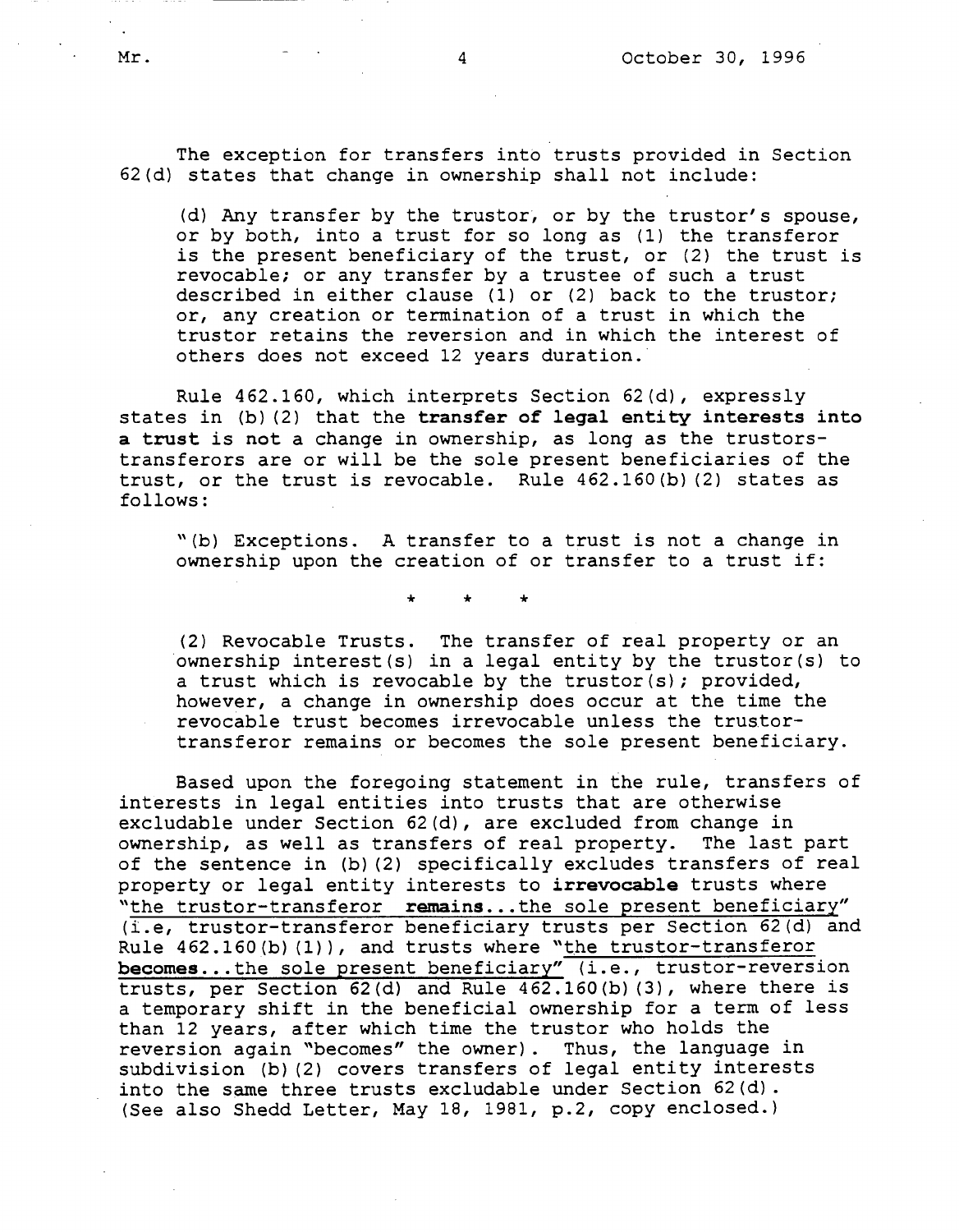The exception for transfers into trusts provided in Section 62(d) states that change in ownership shall not include:

(d) Any transfer by the trustor, or by the trustor's spouse, or by both, into a trust for so long as (1) the transferor is the present beneficiary of the trust, or (2) the trust is revocable; or any transfer by a trustee of such a trust described in either clause (1) or (2) back to the trustor; or, any creation or termination of a trust in which the truster retains the reversion and in which the interest of others does not exceed 12 years duration.

Rule 462.160, which interprets Section 62(d), expressly states in (b) (2) that the **transfer of legal entity interests into a trust** is **not** a change in ownership, as long as the trustorstransferors are or will be the sole present beneficiaries of the trust, or the trust is revocable. Rule 462.160(b) (2) states as follows:

"(b) Exceptions. A transfer to a trust is not a change in ownership upon the creation of or transfer to a trust if:

\* \* \*

(2) Revocable Trusts. The transfer of real property or an ownership interest(s) in a legal entity by the trustor(s) to a trust which is revocable by the trustor(s); provided, however, a change in ownership does occur at the time the revocable trust becomes irrevocable unless the trustortransferor remains or becomes the sole present beneficiary.

Based upon the foregoing statement in the rule, transfers of interests in legal entities into trusts that are otherwise excludable under Section 62(d), are excluded from change in ownership, as well as transfers of real property. The last part of the sentence in (b) (2) specifically excludes transfers of real property or legal entity interests to **irrevocable** trusts where "the truster-transferor **remains ...the** sole present beneficiary" (i.e, truster-transferor beneficiary trusts per Section 62(d) and Rule 462.160(b)(1)), and trusts where "the trustor-transferor becomes...the sole present beneficiary" (i.e., trustor-reversion trusts, per Section 62(d) and Rule 462.160(b) (3), where there is a temporary shift in the beneficial ownership for a term of less than 12 years, after which time the truster who holds the reversion again "becomes" the owner). Thus, the language in subdivision (b) (2) covers transfers of legal entity interests into the same three trusts excludable under Section 62(d). (See also Shedd Letter, May 18, 1981, p.2, copy enclosed.)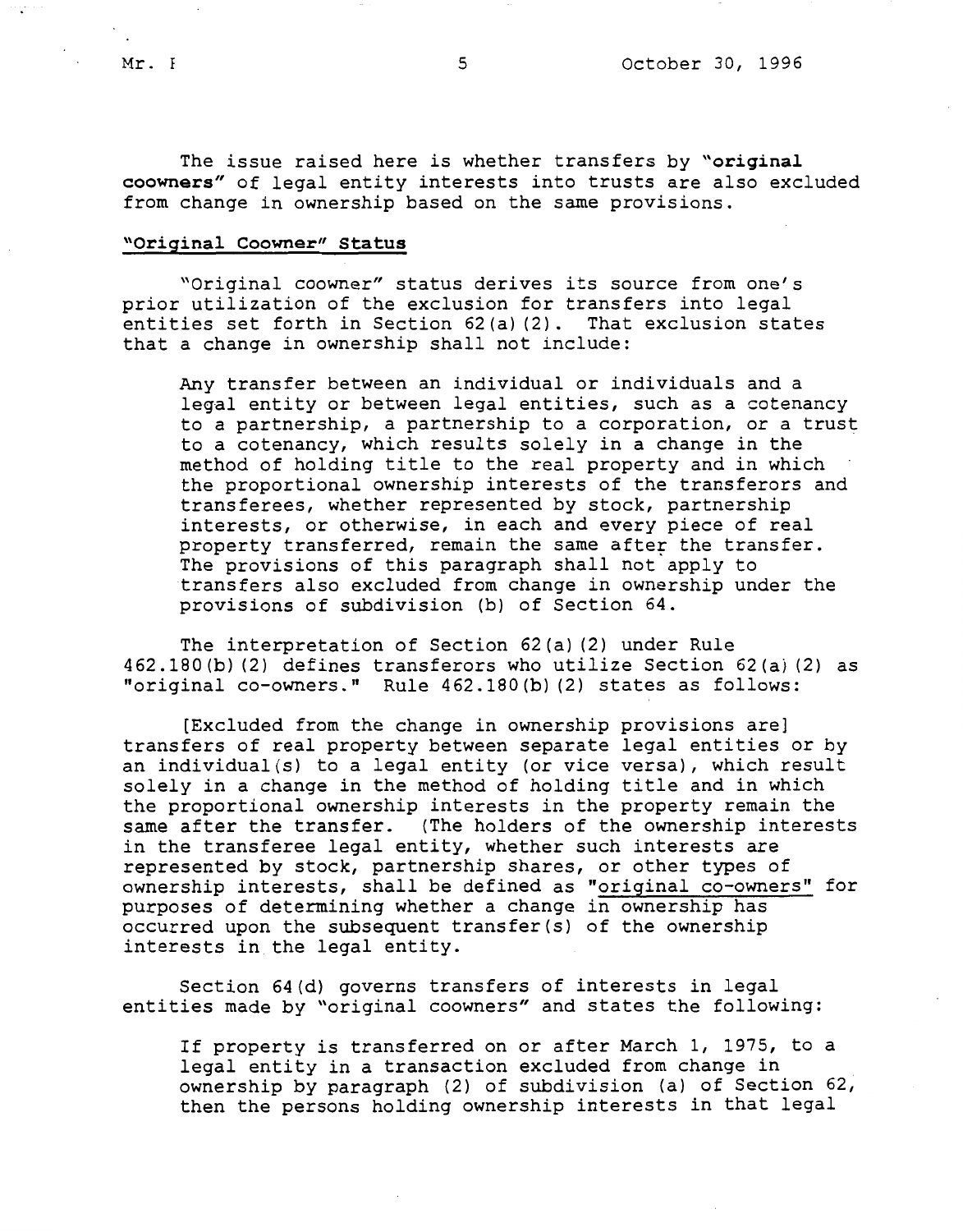The issue raised here is whether transfers by **"original**  coowners" of legal entity interests into trusts are also excluded from change in ownership based on the same provisions.

### **"Original Coowner" Status**

"Original coowner" status derives its source from one's prior utilization of the exclusion for transfers into legal entities set forth in Section 62 (a) (2). That exclusion states that a change in ownership shall not include:

Any transfer between an individual or individuals and a legal entity or between legal entities, such as a cotenancy to a partnership, a partnership to a corporation, or a trust to a cotenancy, which results solely in a change in the method of holding title to the real property and in which the proportional ownership interests of the transferors and transferees, whether represented by stock, partnership interests, or otherwise, in each and every piece of real property transferred, remain the same after the transfer. The provisions of this paragraph shall not apply to transfers also excluded from change in ownership under the provisions of subdivision (b) of Section 64.

The interpretation of Section 62(a) (2) under Rule 462.180(b) (2) defines transferors who utilize Section 62(a) (2) as "original co-owners." Rule 462.180(b) (2) states as follows:

[Excluded from the change in ownership provisions are] transfers of real property between separate legal entities or by an individual(s) to a legal entity (or vice versa), which result solely in a change in the method of holding title and in which the proportional ownership interests in the property remain the same after the transfer. (The holders of the ownership interests in the transferee legal entity, whether such interests are represented by stock, partnership shares, or other types of ownership interests, shall be defined as "original co-owners" for purposes of determining whether a change in ownership has occurred upon the subsequent transfer(s) of the ownership interests in the legal entity.

Section 64(d) governs transfers of interests in legal entities made by "original coowners" and states the following:

If property is transferred on or after March 1, 1975, to a legal entity in a transaction excluded from change in ownership by paragraph (2) of subdivision (a) of Section 62, then the persons holding ownership interests in that legal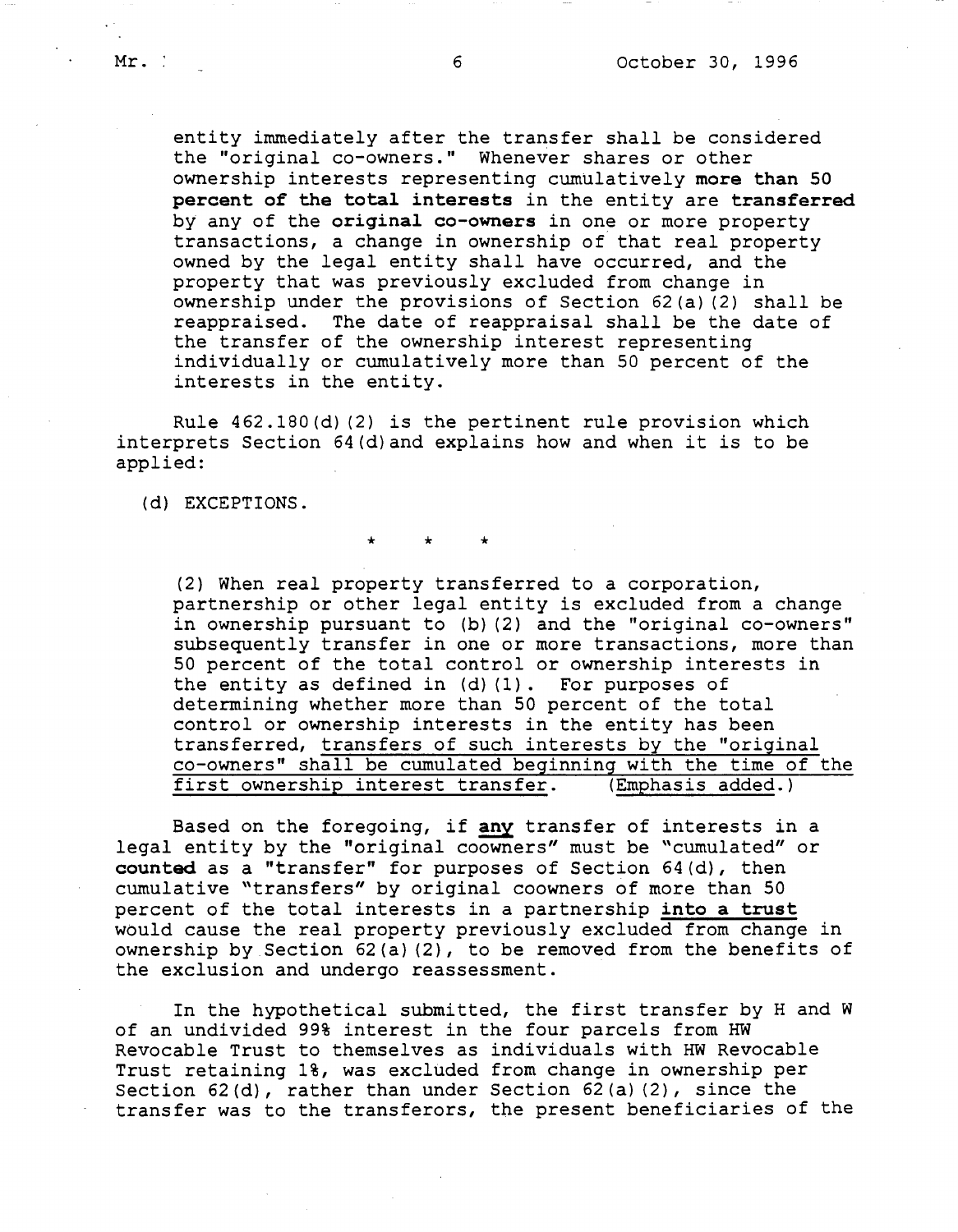entity immediately after the transfer shall be considered the "original co-owners." Whenever shares or other ownership interests representing cumulatively more than 50 **percent of the total interests** in the entity are **transferred**  by any of the **original co-owners** in one or more property transactions, a change in ownership of that real property owned by the legal entity shall have occurred, and the property that was previously excluded from change in ownership under the provisions of Section 62(a) (2) shall be reappraised. The date of reappraisal shall be the date of the transfer of the ownership interest representing individually or cumulatively more than 50 percent of the interests in the entity.

Rule 462.lB0(d) (2) is the pertinent rule provision which interprets Section 64(d)and explains how and when it is to be applied:

\* \* \*

(d) EXCEPTIONS.

(2) When real property transferred to a corporation, partnership or other legal entity is excluded from a change in ownership pursuant to (b) (2) and the "original co-owners" subsequently transfer in one or more transactions, more than 50 percent of the total control or ownership interests in the entity as defined in (d) (1). For purposes of determining whether more than 50 percent of the total control or ownership interests in the entity has been transferred, transfers of such interests by the "original co-owners" shall be cumulated beginning with the time of the first ownership interest transfer. (Emphasis added.)

Based on the foregoing, if **any** transfer of interests in a legal entity by the "original coowners" must be "cumulated" or **counted** as a "transfer" for purposes of Section 64(d), then cumulative "transfers" by original coowners of more than 50 percent of the total interests in a partnership into a trust would cause the real property previously excluded from change in ownership by Section 62(a) (2), to be removed from the benefits of the exclusion and undergo reassessment.

In the hypothetical submitted, the first transfer by Hand W of an undivided 99% interest in the four parcels from HW Revocable Trust to themselves as individuals with HW Revocable Trust retaining 1%, was excluded from change in ownership per Section 62(d), rather than under Section 62(a) (2), since the transfer was to the transferors, the present beneficiaries of the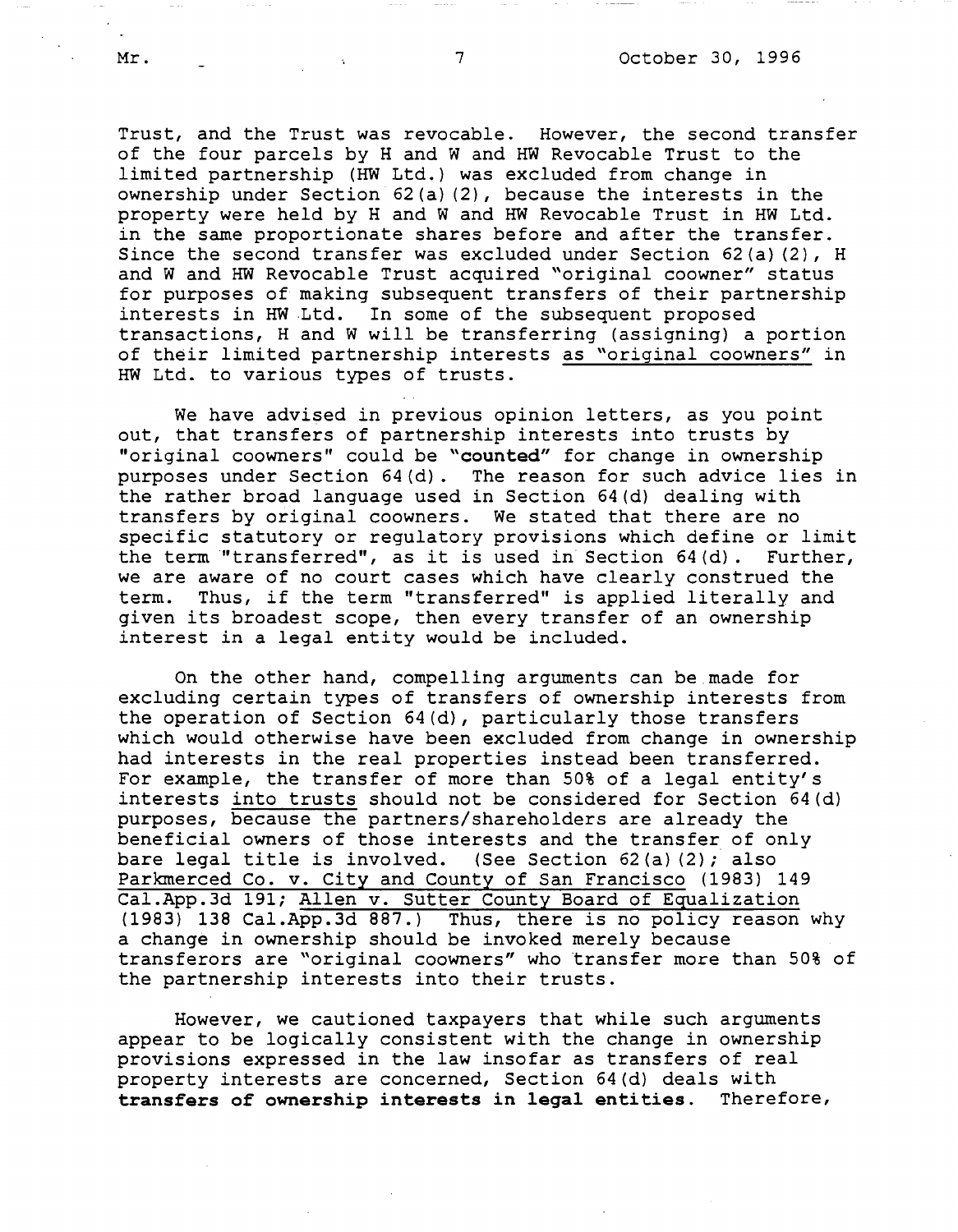Trust, and the Trust was revocable. However, the second transfer of the four parcels by Hand Wand HW Revocable Trust to the limited partnership (HW Ltd.) was excluded from change in ownership under Section 62(a) (2), because the interests in the property were held by Hand Wand HW Revocable Trust in HW Ltd. in the same proportionate shares before and after the transfer. Since the second transfer was excluded under Section 62(a) (2), H and Wand HW Revocable Trust acquired "original coowner" status for purposes of making subsequent transfers of their partnership interests in HW .Ltd. In some of the subsequent proposed transactions, Hand W will be transferring (assigning) a portion of their limited partnership interests as "original coowners" in HW Ltd. to various types of trusts.

We have advised in previous opinion letters, as you point out, that transfers of partnership interests into trusts by "original coowners" could be **"counted"** for change in ownership purposes under Section 64(d). The reason for such advice lies in the rather broad language used in Section 64(d) dealing with transfers by original coowners. We stated that there are no specific statutory or regulatory provisions which define or limit the term "transferred", as it is used in Section 64(d). Further, we are aware of no court cases which have clearly construed the term. Thus, if the term "transferred" is applied literally and given its broadest scope, then every transfer of an ownership interest in a legal entity would be included.

On the other hand, compelling arguments can be made for excluding certain types of transfers of ownership interests from the operation of Section 64(d), particularly those transfers which would otherwise have been excluded from change in ownership had interests in the real properties instead been transferred. For example, the transfer of more than 50% of a legal entity's interests into trusts should not be considered for Section 64(d) purposes, because the partners/shareholders are already the beneficial owners of those interests and the transfer of only bare legal title is involved. (See Section 62(a) (2); also Parkmerced Co. v. City and County of San Francisco (1983) 149 [Cal.App.3d](https://Cal.App.3d) 191; Allen v. Sutter County Board of Equalization (1983) 138 [Cal.App.3d](https://Cal.App.3d) 887.) Thus, there is no policy reason why a change in ownership should be invoked merely because transferors are "original coowners" who transfer more than 50% of the partnership interests into their trusts.

However, we cautioned taxpayers that while such arguments appear to be logically consistent with the change in ownership provisions expressed in the law insofar as transfers of real property interests are concerned, Section 64(d) deals with **transfers of ownership interests in legal entities.** Therefore,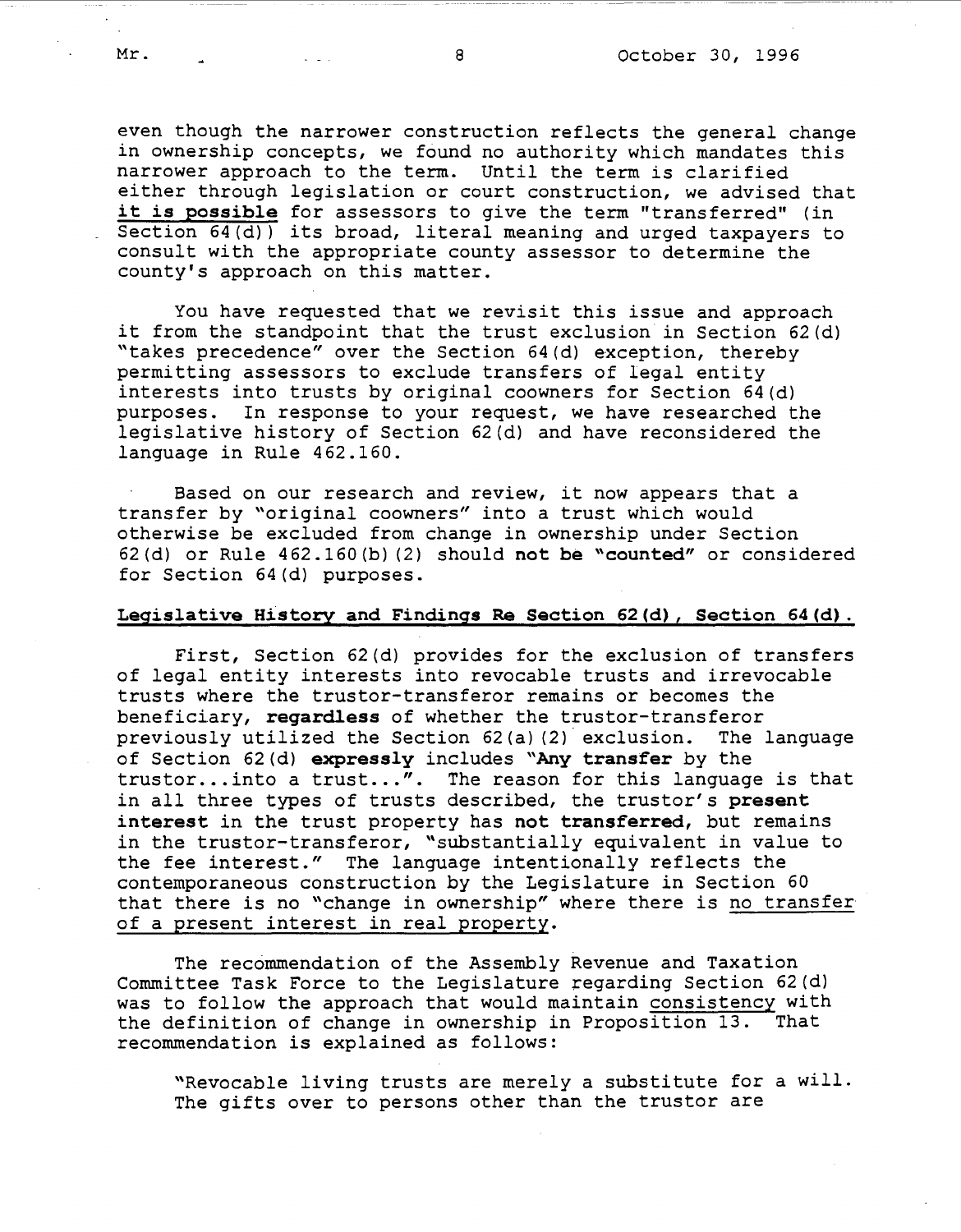even though the narrower construction reflects the general change in ownership concepts, we found no authority which mandates this narrower approach to the term. Until the term is clarified either through legislation or court construction, we advised that it **is possible** for assessors to give the term "transferred" (in Section  $64(d)$  its broad, literal meaning and urged taxpayers to consult with the appropriate county assessor to determine the county's approach on this matter.

You have requested that we revisit this issue and approach it from the standpoint that the trust exclusion in Section 62(d) "takes precedence" over the Section 64(d) exception, thereby permitting assessors to exclude transfers of legal entity interests into trusts by original coowners for Section 64(d) purposes. In response to your request, we have researched t In response to your request, we have researched the legislative history of Section 62(d) and have reconsidered the language in Rule 462.160.

Based on our research and review, it now appears that a transfer by "original coowners" into a trust which would otherwise be excluded from change in ownership under Section 62 (d) or Rule 462.160 (b) (2) should **not be "counted"** or considered for Section 64(d) purposes.

## **Legislative History and Findings Re Section 62(d), Section 64(d).**

First, Section 62(d) provides for the exclusion of transfers of legal entity interests into revocable trusts and irrevocable trusts where the truster-transferor remains or becomes the beneficiary, **regardless** of whether the truster-transferor previously utilized the Section 62(a) (2) exclusion. The language of Section 62(d) **expressly** includes **"Any transfer** by the trustor... into a trust...". The reason for this language is that in all three types of trusts described, the truster's **present interest** in the trust property has **not transferred,** but remains in the trustor-transferor, "substantially equivalent in value to the fee interest." The language intentionally reflects the contemporaneous construction by the Legislature in Section 60 that there is no "change in ownership" where there is no transfer of a present interest in real property.

The recommendation of the Assembly Revenue and Taxation Committee Task Force to the Legislature regarding Section 62(d) was to follow the approach that would maintain consistency with the definition of change in ownership in Proposition 13. That recommendation is explained as follows:

"Revocable living trusts are merely a substitute for a will. The gifts over to persons other than the trustor are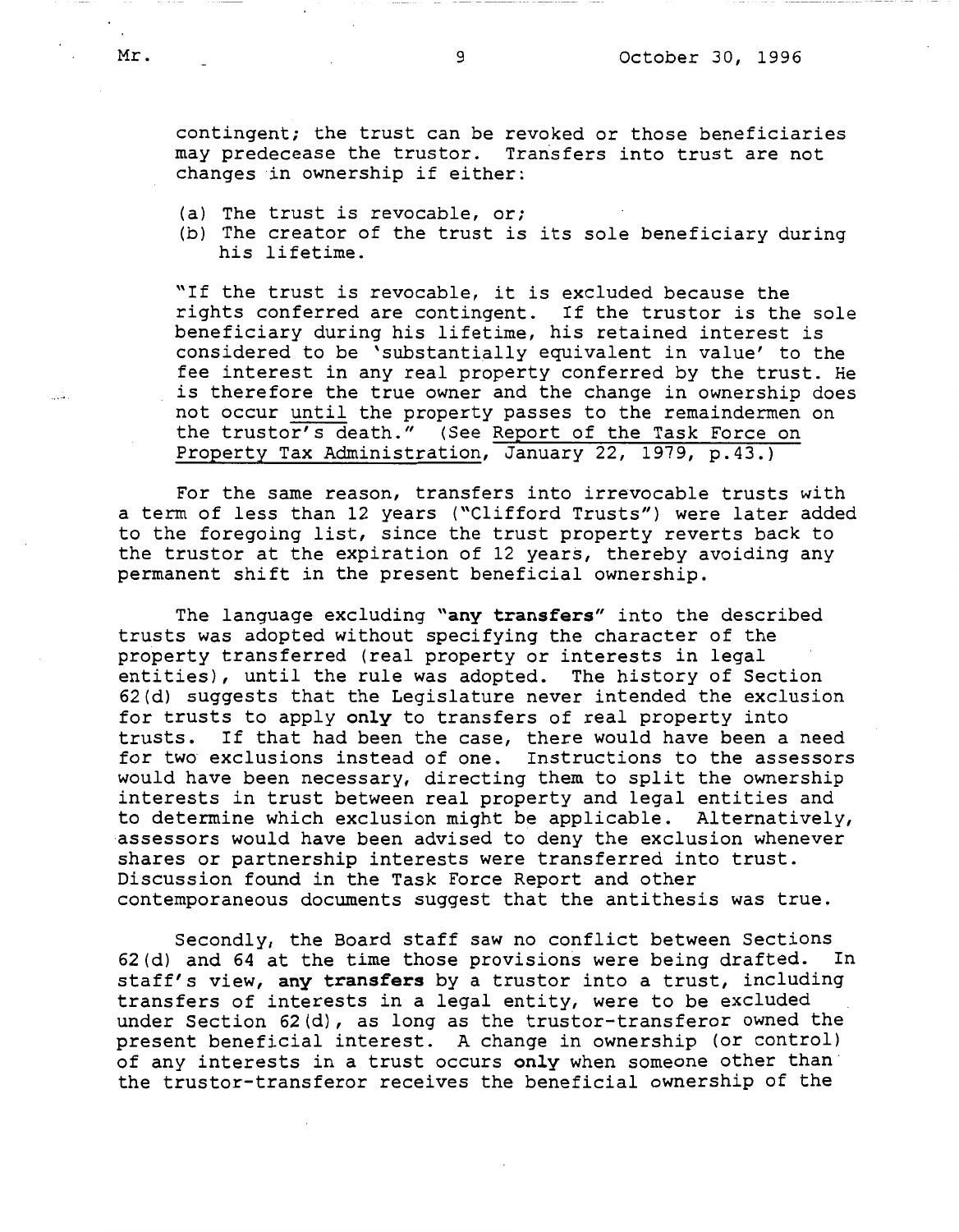contingent; the trust can be revoked or those beneficiaries may predecease the trustor. Transfers into trust are not changes in ownership if either:

- (a) The trust is revocable, or;
- (b) The creator of the trust is its sole beneficiary during his lifetime.

"If the trust is revocable, it is excluded because the rights conferred are contingent. If the trustor is the sole beneficiary during his lifetime, his retained interest is considered to be 'substantially equivalent in value' to the fee interest in any real property conferred by the trust. He is therefore the true owner and the change in ownership does not occur until the property passes to the remaindermen on the truster's death." (See Report of the Task Force on Property Tax Administration, January 22, 1979, p.43.)

For the same reason, transfers into irrevocable trusts with a term of less than 12 years ("Clifford Trusts") were later added to the foregoing list, since the trust property reverts back to the trustor at the expiration of 12 years, thereby avoiding any permanent shift in the present beneficial ownership.

The language excluding **"any transfers"** into the described trusts was adopted without specifying the character of the property transferred (real property or interests in legal entities), until the rule was adopted. The history of Section 62(d) suggests that the Legislature never intended the exclusion for trusts to apply **only** to transfers of real property into If that had been the case, there would have been a need<br>exclusions instead of one. Instructions to the assessors for two exclusions instead of one. would have been necessary, directing them to split the ownership interests in trust between real property and legal entities and to determine which exclusion might be applicable. Alternatively, assessors would have been advised to deny the exclusion whenever shares or partnership interests were transferred into trust. Discussion found in the Task Force Report and other contemporaneous documents suggest that the antithesis was true.

Secondly, the Board staff saw no conflict between Sections 62(d) and 64 at the time those provisions were being drafted. In staff's view, any transfers by a trustor into a trust, including transfers of interests in a legal entity, were to be excluded under Section  $62(d)$ , as long as the trustor-transferor owned the present beneficial interest. A change in ownership (or control) of any interests in a trust occurs **only** when someone other than the trustor-transferor receives the beneficial ownership of the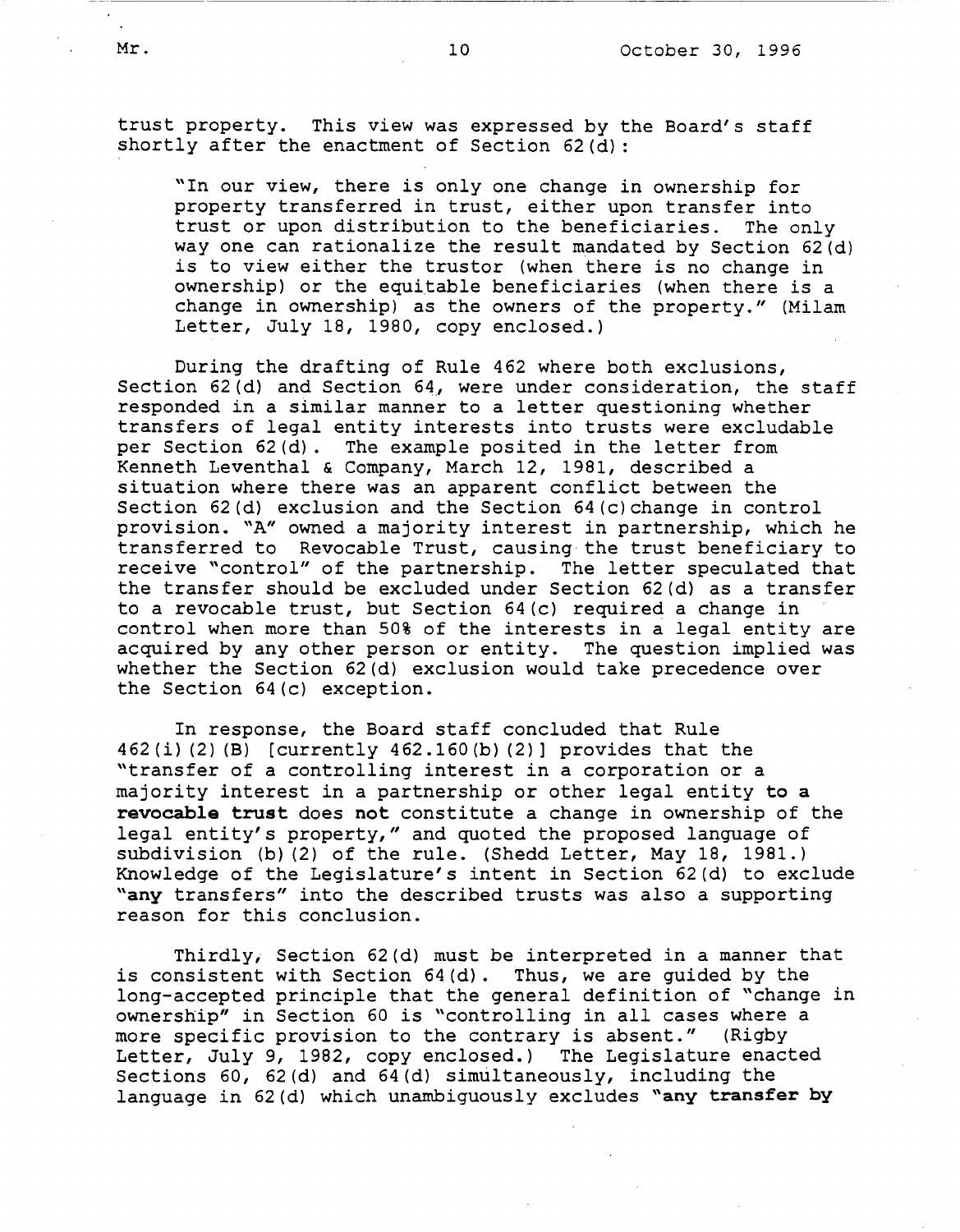trust property. This view was expressed by the Board's staff shortly after the enactment of Section  $62(d)$ :

"In our view, there is only one change in ownership for property transferred in trust, either upon transfer into trust or upon distribution to the beneficiaries. The only way one can rationalize the result mandated by Section 62(d) is to view either the trustor (when there is no change in ownership) or the equitable beneficiaries (when there is a change in ownership) as the owners of the property." (Milam Letter, July 18, 1980, copy enclosed.)

During the drafting of Rule 462 where both exclusions, Section  $62$  (d) and Section  $64$ , were under consideration, the staff responded in a similar manner to a letter questioning whether transfers of legal entity interests into trusts were excludable per Section 62(d). The example posited in the letter from Kenneth Leventhal & Company, March 12, 1981, described a situation where there was an apparent conflict between the Section  $62(d)$  exclusion and the Section  $64(c)$  change in control provision. "A" owned a majority interest in partnership, which he transferred to Revocable Trust, causing the trust beneficiary to receive "control" of the partnership. The letter speculated that the transfer should be excluded under Section 62(d) as a transfer to a revocable trust, but Section 64(c) required a change in control when more than 50% of the interests in a legal entity are acquired by any other person or entity. The question implied was whether the Section 62(d) exclusion would take precedence over the Section 64{c) exception.

In response, the Board staff concluded that Rule 462(i) (2) (B) [currently 462.160(b) (2)] provides that the "transfer of a controlling interest in a corporation or a majority interest in a partnership or other legal entity **to a revocable trust** does **not** constitute a change in ownership of the legal entity's property," and quoted the proposed language of subdivision (b) (2) of the rule. (Shedd Letter, May 18, 1981.) Knowledge of the Legislature's intent in Section 62(d) to exclude **"any** transfers" into the described trusts was also a supporting reason for this conclusion.

Thirdly, Section 62(d) must be interpreted in a manner that is consistent with Section 64(d). Thus, we are guided by the long-accepted principle that the general definition of "change in ownership" in Section 60 is "controlling in all cases where a more specific provision to the contrary is absent." (Rigby Letter, July 9, 1982, copy enclosed.) The Legislature enacted Sections 60, 62(d) and 64(d) simultaneously, including the language in 62(d) which unambiguously excludes **"any transfer by**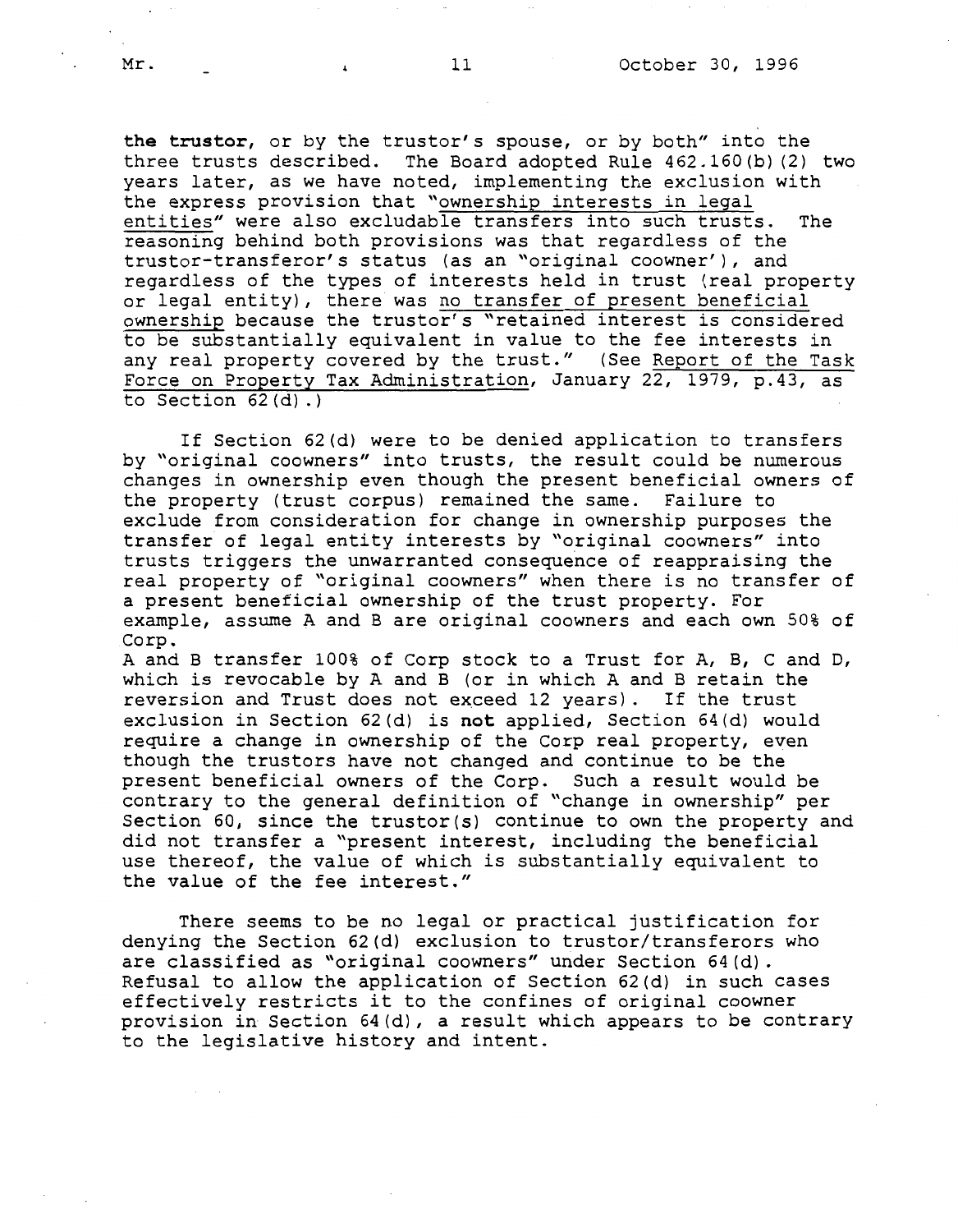**the trustor,** or by the trustor's spouse, or by both" into the three trusts described. The Board adopted Rule 462.160(b) (2) two years later, as we have noted, implementing the exclusion with the express provision that "ownership interests in legal entities" were also excludable transfers into such trusts. The reasoning behind both provisions was that regardless of the truster-transferor's status (as an "original coowner'), and regardless of the types of interests held in trust (real property or legal entity), there was no transfer of present beneficial ownership because the trustor's "retained interest is considered to be substantially equivalent in value to the fee interests in any real property covered by the trust." (See Report of the Task Force on Property Tax Administration, January 22, 1979, p.43, as to Section 62(d) .)

If Section 62(d) were to be denied application to transfers by "original coowners" into trusts, the result could be numerous changes in ownership even though the present beneficial owners of the property (trust corpus) remained the same. Failure to exclude from consideration for change in ownership purposes the transfer of legal entity interests by "original coowners" into trusts triggers the unwarranted consequence of reappraising the real property of "original coowners" when there is no transfer of a present beneficial ownership of the trust property. For example, assume A and Bare original coowners and each own 50% of Corp.

A and B transfer 100% of Corp stock to a Trust for A, B, C and D, which is revocable by A and B (or in which A and B retain the reversion and Trust does not exceed 12 years). If the trust exclusion in Section 62(d) is **not** applied, Section 64(d) would require a change in ownership of the Corp real property, even though the trustors have not changed and continue to be the present beneficial owners of the Corp. Such a result would be contrary to the general definition of "change in ownership" per Section 60, since the trustor(s) continue to own the property and did not transfer a "present interest, including the beneficial use thereof, the value of which is substantially equivalent to the value of the fee interest."

There seems to be no legal or practical justification for denying the Section 62(d) exclusion to trustor/transferors who are classified as "original coowners" under Section 64(d). Refusal to allow the application of Section 62(d) in such cases effectively restricts it to the confines of original coowner provision in Section 64(d), a result which appears to be contrary to the legislative history and intent.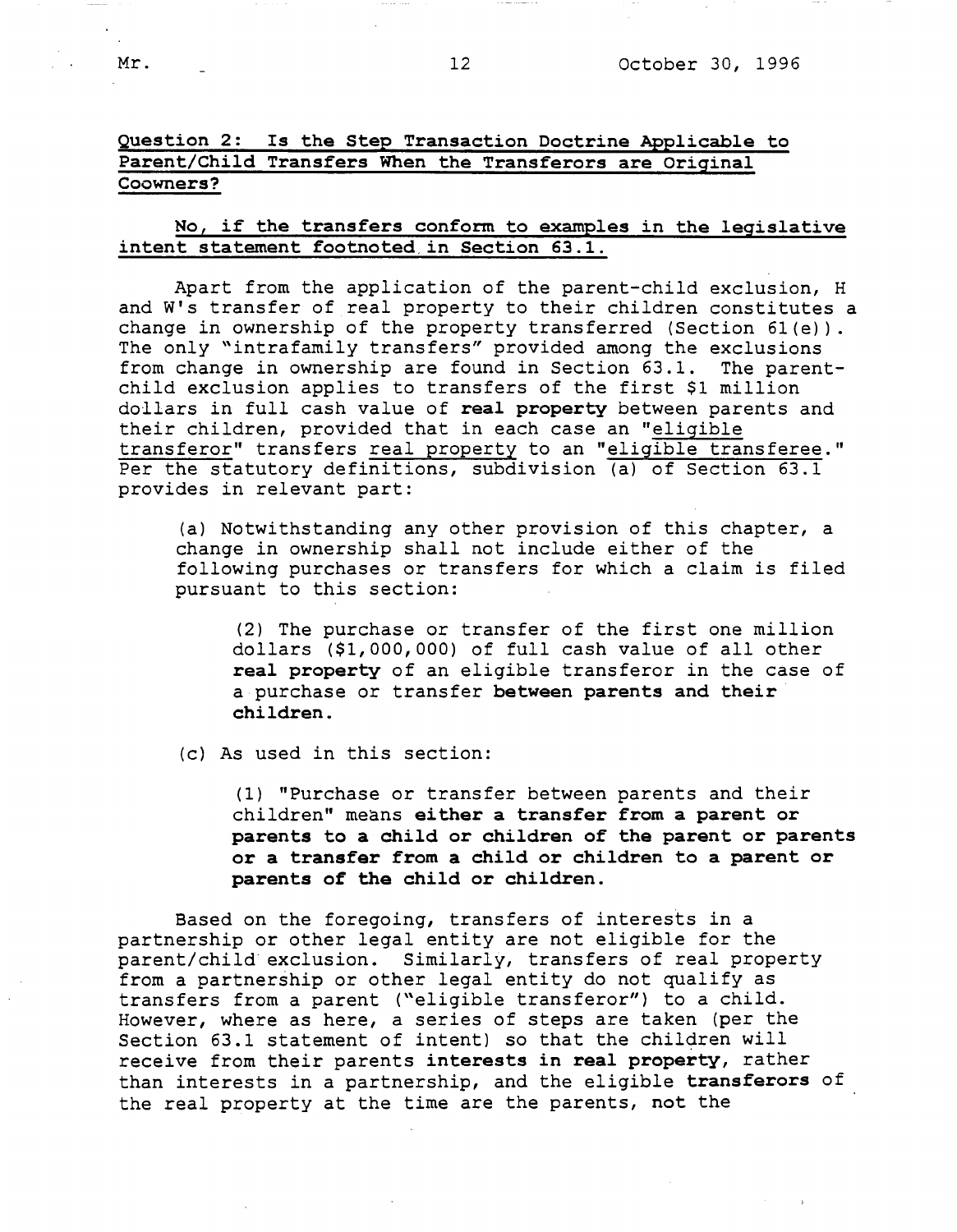# Question 2: Is the Step Transaction Doctrine Applicable to Parent/Child Transfers When the Transferors are Original Coowners?

## No, if the transfers conform to examples in the legislative intent statement footnoted,in Section 63.1.

Apart from the application of the parent-child exclusion, H and W's transfer of real property to their children constitutes a change in ownership of the property transferred (Section 6l(e)). The only "intrafamily transfers" provided among the exclusions from change in ownership are found in Section 63.1. The parentchild exclusion applies to transfers of the first \$1 million dollars in full cash value of **real property** between parents and their children, provided that in each case an "eligible transferor" transfers real property to an "eligible transferee." Per the statutory definitions, subdivision (a) of Section 63.1 provides in relevant part:

(a) Notwithstanding any other provision of this chapter, a change in ownership shall not include either of the following purchases or transfers for which a claim is filed pursuant to this section:

(2) The purchase or transfer of the first one million dollars (\$1,000,000) of full cash value of all other **real property** of an eligible transferor in the case of a purchase or transfer **between parents and their children.** 

(c) As used in this section:

(1) "Purchase or transfer between parents and their children" means **either a transfer from a parent or parents to a child or children of the parent or parents or a transfer from a child or children to a parent or parents of the child or children.** 

Based on the foregoing, transfers of interests in a partnership or other legal entity are not eligible for the parent/child exclusion. Similarly, transfers of real property from a partnership or other legal entity do not qualify as transfers from a parent ("eligible transferor") to a child. However, where as here, a series of steps are taken (per the Section 63.1 statement of intent) so that the children will receive from their parents **interests in real property,** rather than interests in a partnership, and the eligible **transferors** of the real property at the time are the parents, **not** the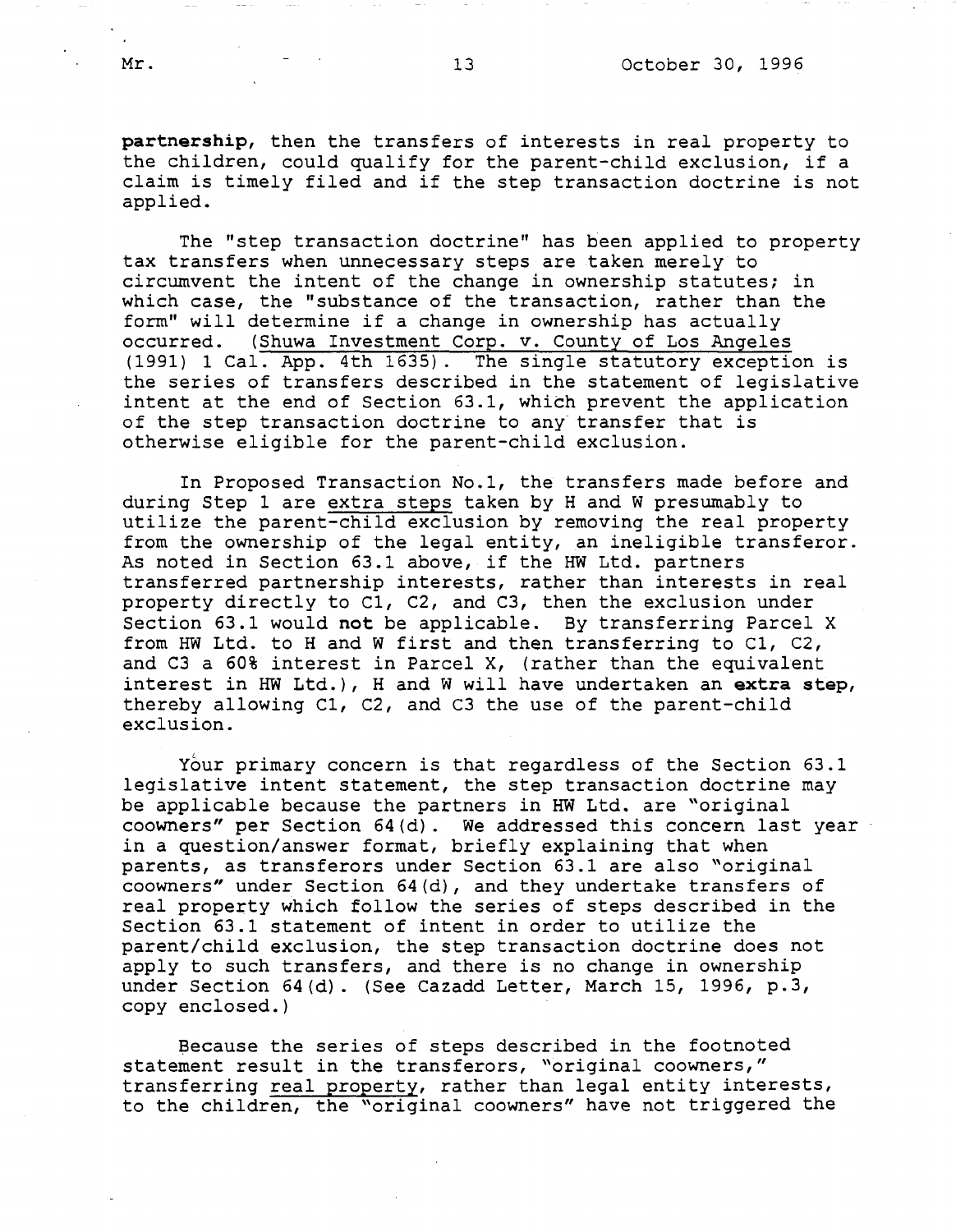**partnership,** then the transfers of interests in real property to the children, could qualify for the parent-child exclusion, if a claim is timely filed and if the step transaction doctrine is not applied.

The "step transaction doctrine" has been applied to property tax transfers when unnecessary steps are taken merely to circumvent the intent of the change in ownership statutes; in which case, the "substance of the transaction, rather than the form" will determine if a change in ownership has actually occurred. (Shuwa Investment Corp. v. County of Los Angeles (1991) 1 Cal. App. 4th 1635). The single statutory exception is the series of transfers described in the statement of legislative intent at the end of Section 63.1, which prevent the application of the step transaction doctrine to any transfer that is otherwise eligible for the parent-child exclusion.

In Proposed Transaction No.l, the transfers made before and during Step 1 are extra steps taken by Hand W presumably to utilize the parent-child exclusion by removing the real property from the ownership of the legal entity, an ineligible transferor. As noted in Section 63.1 above, if the HW Ltd. partners transferred partnership interests, rather than interests in real property directly to Cl, C2, and C3, then the exclusion under Section 63.1 would **not** be applicable. By transferring Parcel X from HW Ltd. to Hand W first and then transferring to Cl, C2, and C3 a 60% interest in Parcel X, (rather than the equivalent interest in HW Ltd.), Hand W will have undertaken an **extra step,**  thereby allowing Cl, C2, and C3 the use of the parent-child exclusion.

Your primary concern is that regardless of the Section 63.1 legislative intent statement, the step transaction doctrine may be applicable because the partners in HW Ltd. are "original coowners" per Section 64(d). We addressed this concern last year in a question/answer format, briefly explaining that when parents, as transferors under Section 63.1 are also "original coowners" under Section 64(d), and they undertake transfers of real property which follow the series of steps described in the Section 63.1 statement of intent in order to utilize the parent/child exclusion, the step transaction doctrine does not apply to such transfers, and there is no change *in* ownership under Section 64(d). (See Cazadd Letter, March 15, 1996, p.3, copy enclosed.)

Because the series of steps described *in* the footnoted statement result in the transferors, "original coowners," transferring real property, rather than legal entity interests, to the children, the "original coowners" have not triggered the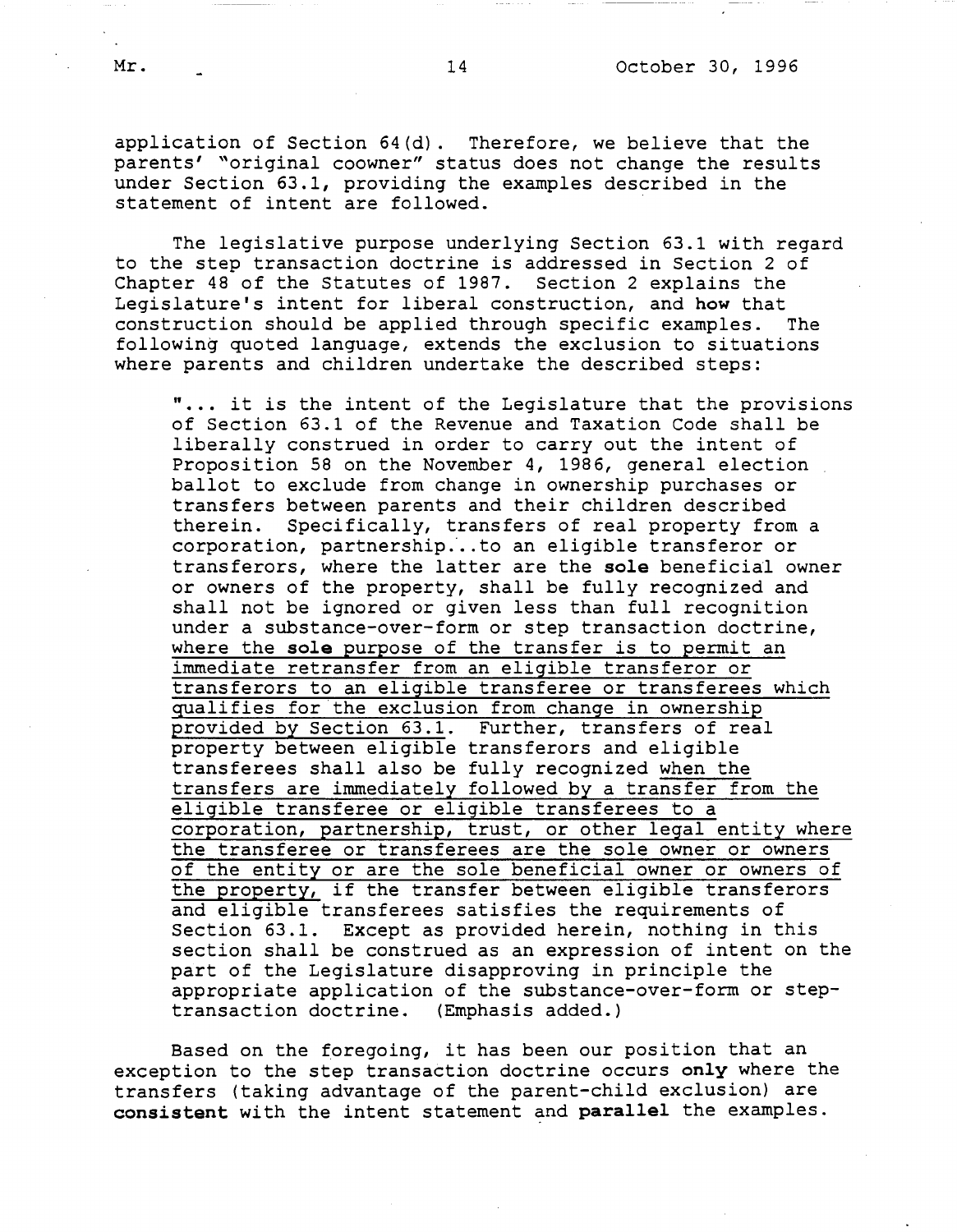application of Section 64(d). Therefore, we believe that the parents' "original coowner" status does not change the results under Section 63.1, providing the examples described in the statement of intent are followed.

The legislative purpose underlying Section 63.1 with regard to the step transaction doctrine is addressed in Section 2 of Chapter 48 of the Statutes of 1987. Section 2 explains the Legislature's intent for liberal construction, and **how** that construction should be applied through specific examples. The following quoted language, extends the exclusion to situations where parents and children undertake the described steps:

" •.. it is the intent of the Legislature that the provisions of Section 63.1 of the Revenue and Taxation Code shall be liberally construed in order to carry out the intent of Proposition 58 on the November 4, 1986, general election ballot to exclude from change in ownership purchases or transfers between parents and their children described therein. Specifically, transfers of real property from a corporation, partnership.·.. to an eligible transferor or transferors, where the latter are the **sole** beneficial owner or owners of the property, shall be fully recognized and shall not be ignored or given less than full recognition under a substance-over-form or step transaction doctrine, where the **sole** purpose of the transfer is to permit an immediate retransfer from an eligible transferor or transferors to an eligible transferee or transferees which qualifies for the exclusion from change in ownership provided by Section 63.1. Further, transfers of real property between eligible transferors and eligible transferees shall also be fully recognized when the transfers are immediately followed by a transfer from the eligible transferee or eligible transferees to a corporation, partnership, trust, or other legal entity where the transferee or transferees are the sole owner or owners of the entity or are the sole beneficial owner or owners of the property, if the transfer between eligible transferors and eligible transferees satisfies the requirements of Section 63.1. Except as provided herein, nothing in this section shall be construed as an expression of intent on the part of the Legislature disapproving in principle the appropriate application of the substance-over-form or steptransaction doctrine. (Emphasis added.)

Based on the foregoing, it has been our position that an exception to the step transaction doctrine occurs **only** where the transfers (taking advantage of the parent-child exclusion) are **consistent** with the intent statement and **parallel** the examples.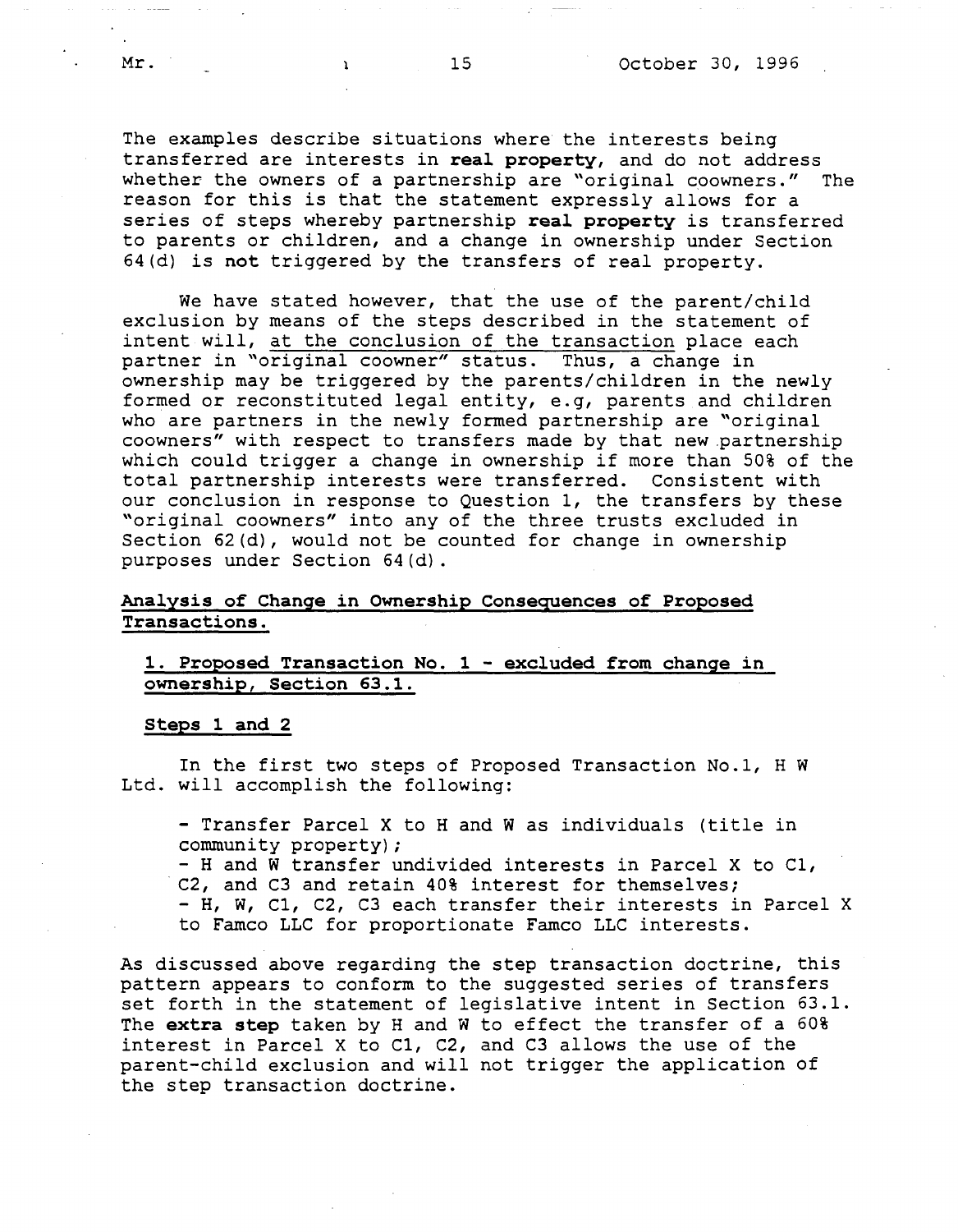The examples describe situations where the interests being transferred are interests in **real property,** and do not address whether the owners of a partnership are "original coowners." The reason for this is that the statement expressly allows for a series of steps whereby partnership **real property** is transferred to parents or children, and a change in ownership under Section 64(d) is **not** triggered by the transfers of real property.

We have stated however, that the use of the parent/child exclusion by means of the steps described in the statement of intent will, at the conclusion of the transaction place each partner in "original coowner" status. Thus, a change in ownership may be triggered by the parents/children in the newly formed or reconstituted legal entity, e.g, parents and children who are partners in the newly formed partnership are "original coowners" with respect to transfers made by that new .partnership which could trigger a change in ownership if more than 50% of the total partnership interests were transferred. Consistent with our conclusion in response to Question 1, the transfers by these "original coowners" into any of the three trusts excluded in Section 62(d), would not be counted for change in ownership purposes under Section 64(d).

## **Analysis of Change in Ownership Consequences of Proposed Transactions.**

## **1. Proposed Transaction No. 1 - excluded from change in ownership, Section 63.1.**

#### **Steps 1 and 2**

In the first two steps of Proposed Transaction No.1, H w Ltd. will accomplish the following:

- Transfer Parcel X to H and W as individuals (title in community property);

- H and W transfer undivided interests in Parcel X to C1, C2, and C3 and retain 40% interest for themselves; - H, W, Cl, C2, C3 each transfer their interests in Parcel X to Famco LLC for proportionate Famco LLC interests.

As discussed above regarding the step transaction doctrine, this pattern appears to conform to the suggested series of transfers set forth in the statement of legislative intent in Section 63.1. The **extra step** taken by Hand W to effect the transfer of a 60% interest in Parcel X to Cl, C2, and C3 allows the use of the parent-child exclusion and will not trigger the application of the step transaction doctrine.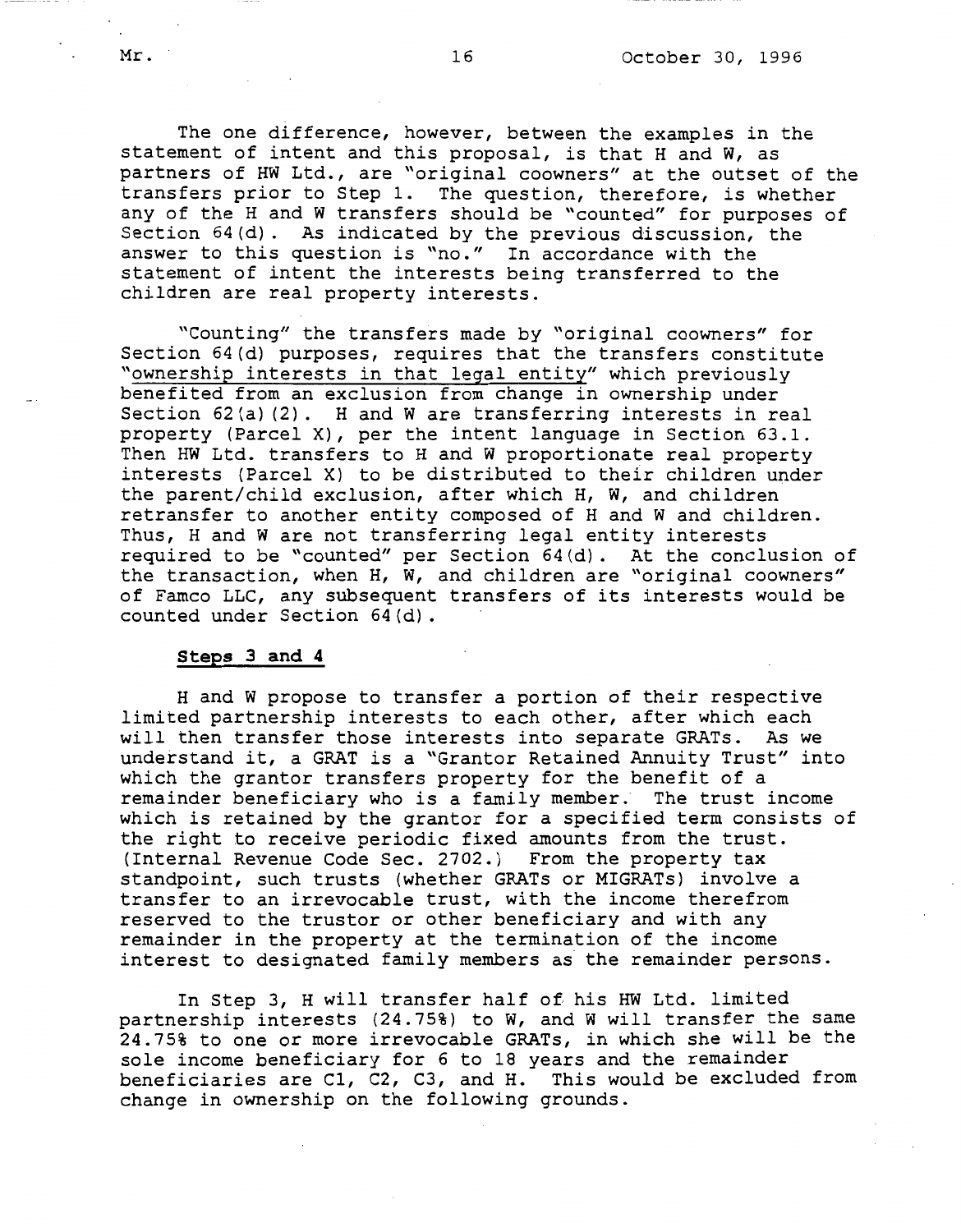The one difference, however, between the examples in the statement of intent and this proposal, is that H and W, as partners of HW Ltd., are "original coowners" at the outset of the transfers prior to Step 1. The question, therefore, is whether any of the H and W transfers should be "counted" for purposes of Section 64(d). As indicated by the previous discussion, the answer to this question is "no." In accordance with the statement of intent the interests being transferred to the children are real property interests.

"Counting" the transfers made by "original coowners" for Section 64(d) purposes, requires that the transfers constitute "ownership interests in that legal entity" which previously benefited from an exclusion from change in ownership under Section 62(a)(2). H and W are transferring interests in real property (Parcel X), per the intent language in Section 63.1. Then HW Ltd. transfers to H and W proportionate real property interests (Parcel X) to be distributed to their children under the parent/child exclusion, after which H, W, and children retransfer to another entity composed of H and W and children. Thus, H and W are not transferring legal entity interests required to be "counted" per Section 64(d). At the conclusion of the transaction, when H, W, and children are "original coowners" of Famco LLC, any subsequent transfers of its interests would be counted under Section 64{d).

### **Steps 3 and 4**

Hand W propose to transfer a portion of their respective limited partnership interests to each other, after which each will then transfer those interests into separate GRATs. As we understand it, a GRAT is a "Grantor Retained Annuity Trust" into which the grantor transfers property for the benefit of a<br>remainder beneficiary who is a family member. The trust income remainder beneficiary who is a family member. which is retained by the grantor for a specified term consists of the right to receive periodic fixed amounts from the trust. {Internal Revenue Code Sec. 2702.) From the property tax standpoint, such trusts {whether GRATs or MIGRATs) involve a transfer to an irrevocable trust, with the income therefrom reserved to the trustor or other beneficiary and with any remainder in the property at the termination of the income interest to designated family members as the remainder persons.

In Step 3, H will transfer half of his HW Ltd. limited partnership interests  $(24.75%)$  to W, and W will transfer the same 24.75% to one or more irrevocable GRATs, in which she will be the sole income beneficiary for 6 to 18 years and the remainder beneficiaries are Cl, C2, C3, and H. This would be excluded from change in ownership on the following grounds.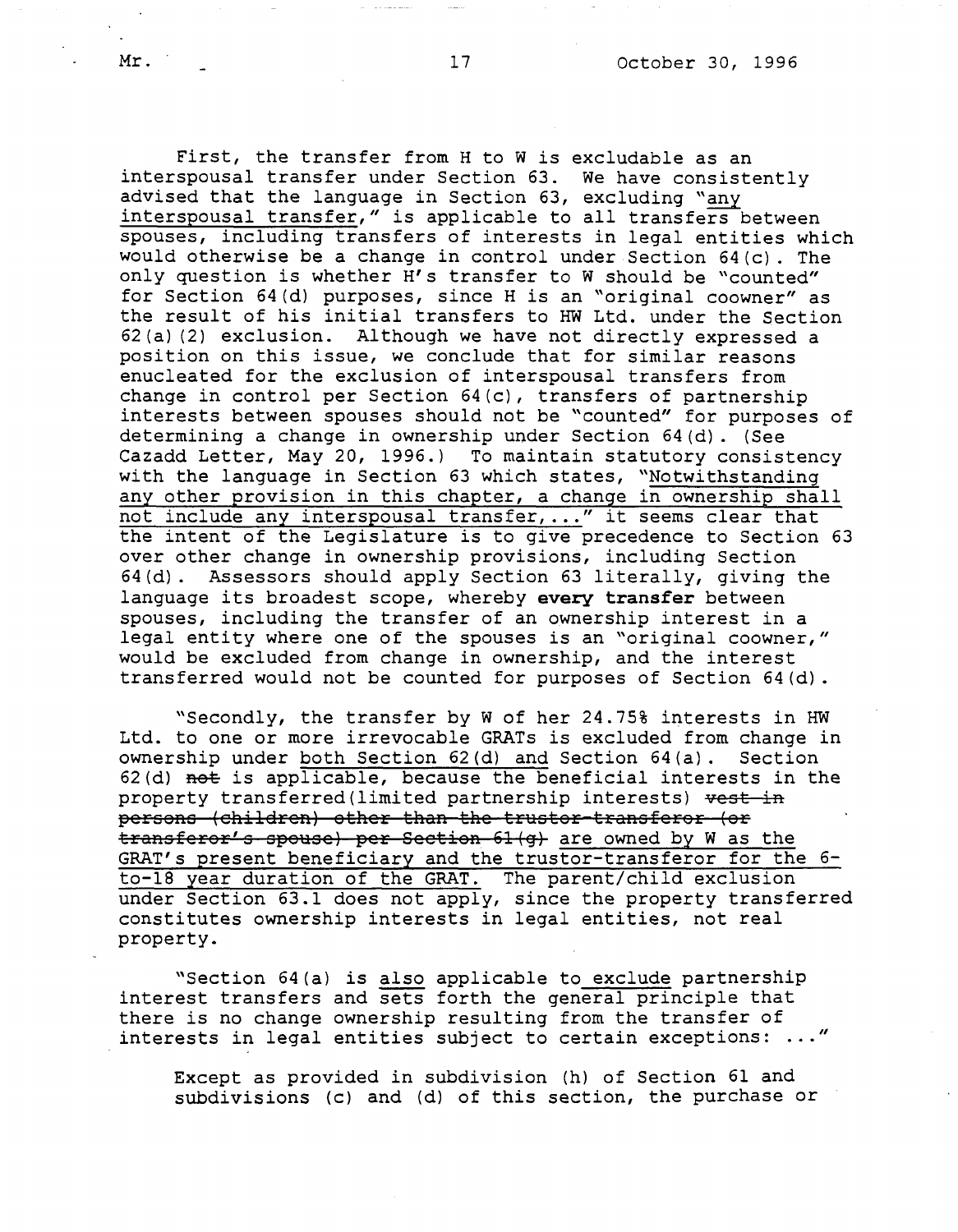First, the transfer from H to W is excludable as an interspousal transfer under Section 63. We have consistently advised that the language in Section 63, excluding "any interspousal transfer," is applicable to all transfers between spouses, including transfers of interests in legal entities which would otherwise be a change in control under Section 64(c). The only question is whether H's transfer to W should be "counted" for Section 64(d) purposes, since His an "original coowner" as the result of his initial transfers to HW Ltd. under the Section 62(a) (2) exclusion. Although we have not directly expressed a position on this issue, we conclude that for similar reasons enucleated for the exclusion of interspousal transfers from change in control per Section 64(c), transfers of partnership interests between spouses should not be "counted" for purposes of determining a change in ownership under Section 64(d). (See Cazadd Letter, May 20, 1996.) To maintain statutory consistency with the language in Section 63 which states, "Notwithstanding any other provision in this chapter, a change in ownership shall not include any interspousal transfer, ... " it seems clear that the intent of the Legislature is to give precedence to Section 63 over other change in ownership provisions, including Section 64(d). Assessors should apply Section 63 literally, giving the language its broadest scope, whereby **every transfer** between spouses, including the transfer of an ownership interest in a legal entity where one of the spouses is an "original coowner," would be excluded from change in ownership, and the interest transferred would not be counted for purposes of Section 64(d).

"Secondly, the transfer by W of her 24.75% interests in HW Ltd. to one or more irrevocable GRATs is excluded from change in ownership under both Section 62(d) and Section 64(a). Section 62(d) not is applicable, because the beneficial interests in the property transferred(limited partnership interests) vest in persons (children) other than the truster transferor (or transferor's spouse) per Section 61(q) are owned by W as the GRAT's present beneficiary and the truster-transferor for the 6 to-18 year duration of the GRAT. The parent/child exclusion under Section 63.1 does not apply, since the property transferred constitutes ownership interests in legal entities, not real property.

"Section 64(a) is also applicable to exclude partnership interest transfers and sets forth the general principle that there is no change ownership resulting from the transfer of interests in legal entities subject to certain exceptions: ... "

Except as provided in subdivision (h) of Section 61 and subdivisions (c) and (d) of this section, the purchase or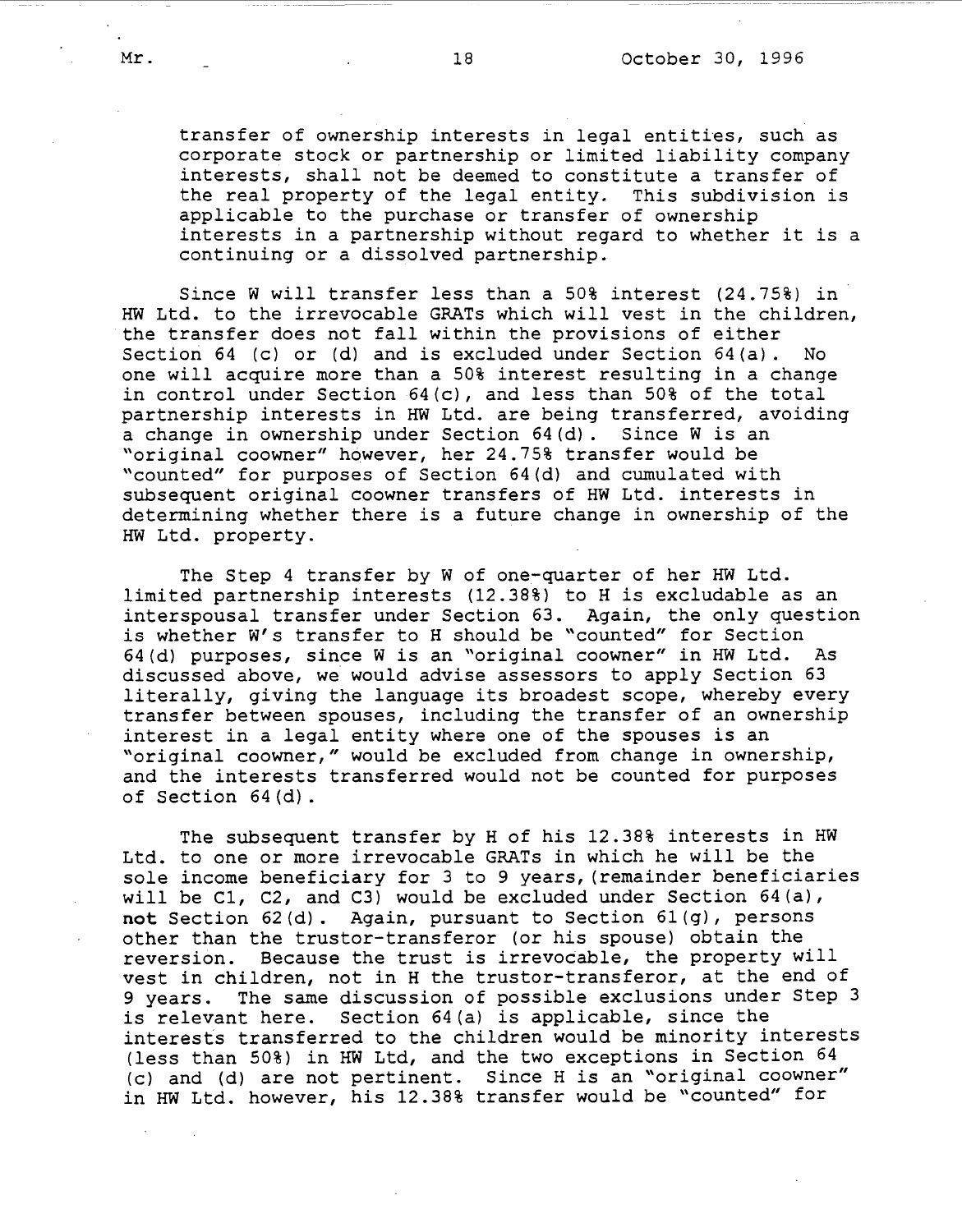transfer of ownership interests in legal entities, such as corporate stock or partnership or limited liability company interests, shall not be deemed to constitute a transfer of the real property of the legal entity. This subdivision is applicable to the purchase or transfer of ownership interests in a partnership without regard to whether *it* is a continuing or a dissolved partnership.

Since W will transfer less than a 50% interest (24.75%) in HW Ltd. to the irrevocable GRATs which will vest in the children, the transfer does not fall within the provisions of either Section 64 (c) or (d) and is excluded under Section 64(a). No one will acquire more than a 50% interest resulting in a change in control under Section 64(c), and less than 50% of the total partnership interests in HW Ltd. are being transferred, avoiding a change in ownership under Section 64(d). Since Wis an "original coowner" however, her 24.75% transfer would be "counted" for purposes of Section 64(d) and cumulated with subsequent original coowner transfers of HW Ltd. interests in determining whether there is a future change in ownership of the HW Ltd. property.

The Step 4 transfer by W of one-quarter of her HW Ltd. limited partnership interests (12.38%) to His excludable as an interspousal transfer under Section 63. Again, the only question is whether W's transfer to H should be "counted" for Section 64(d) purposes, since Wis an "original coowner" in HW Ltd. As discussed above, we would advise assessors to apply Section 63 literally, giving the language its broadest scope, whereby every transfer between spouses, including the transfer of an ownership interest in a legal entity where one of the spouses is an "original coowner," would be excluded from change in ownership, and the interests transferred would not be counted for purposes of Section 64(d).

The subsequent transfer by H of his 12.38% interests in HW Ltd. to one or more irrevocable GRATs in which he will be the sole income beneficiary for 3 to 9 years, (remainder beneficiaries will be Cl, C2, and C3) would be excluded under Section 64(a), **not** Section 62(d). Again, pursuant to Section 61(g), persons other than the truster-transferor (or his spouse) obtain the reversion. Because the trust is irrevocable, the property will vest in children, not in H the trustor-transferor, at the end of 9 years. The same discussion of possible exclusions under Step 3 is relevant here. Section 64(a) is applicable, since the interests transferred to the children would be minority interests (less than 50%) in HW Ltd, and the two exceptions in Section 64 (c) and (d) are not pertinent. Since His an "original coowner" in HW Ltd. however, his 12.38% transfer would be "counted" for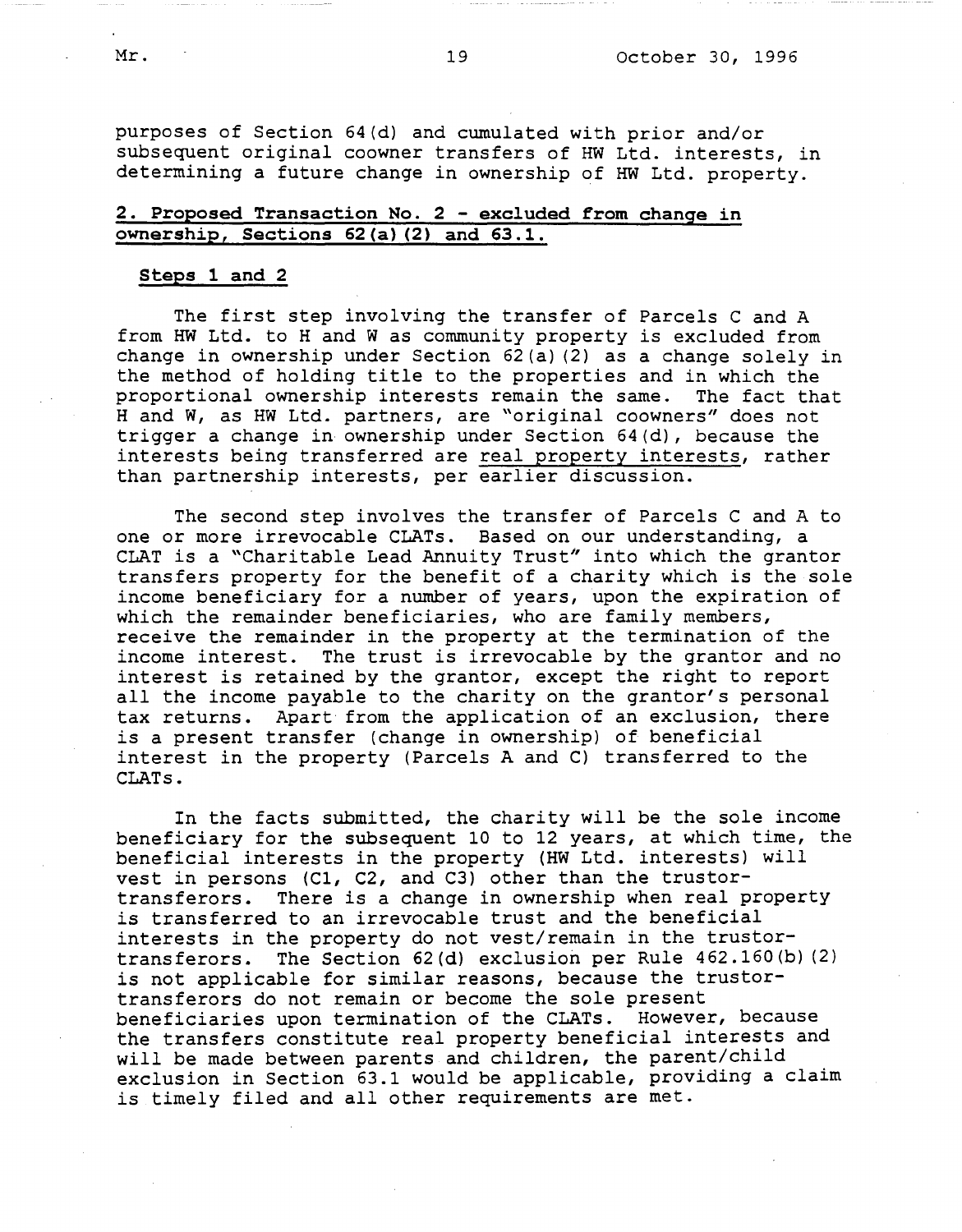purposes of Section 64(d) and cumulated with prior and/or subsequent original coowner transfers of HW Ltd. interests, in determining a future change in ownership of HW Ltd. property.

# **2. Proposed Transaction No. 2** - **excluded from change in ownership, Sections 62(a) (2) and 63.1.**

#### **Steps 1 and 2**

The first step involving the transfer of Parcels C and A from HW Ltd. to H and W as community property is excluded from change in ownership under Section 62(a) (2) as a change solely in the method of holding title to the properties and in which the proportional ownership interests remain the same. The fact that proportional ownership interests remain the same. Hand W, as HW Ltd. partners, are "original coowners" does not trigger a change in ownership under Section 64(d), because the interests being transferred are real property interests, rather than partnership interests, per earlier discussion.

The second step involves the transfer of Parcels C and A to one or more irrevocable CLATs. Based on our understanding, a CLAT is a "Charitable Lead Annuity Trust" into which the grantor transfers property for the benefit of a charity which is the sole income beneficiary for a number of years, upon the expiration of which the remainder beneficiaries, who are family members, receive the remainder in the property at the termination of the income interest. The trust is irrevocable by the grantor and no interest is retained by the grantor, except the right to report all the income payable to the charity on the grantor's personal tax returns. Apart from the application of an exclusion, there is a present transfer (change in ownership) of beneficial interest in the property (Parcels A and C) transferred to the **CLATs.** 

In the facts submitted, the charity will be the sole income beneficiary for the subsequent 10 to 12 years, at which time, the beneficial interests in the property (HW Ltd. interests) will vest in persons (Cl, C2, and C3) other than the trustortransferors. There is a change in ownership when real property is transferred to an irrevocable trust and the beneficial interests in the property do not vest/remain in the trustortransferors. The Section 62(d) exclusion per Rule 462.160(b) (2) is not applicable for similar reasons, because the trustortransferors do not remain or become the sole present beneficiaries upon termination of the CLATs. However, because the transfers constitute real property beneficial interests and will be made between parents and children, the parent/child exclusion in Section 63.1 would be applicable, providing a claim is timely filed and all other requirements are met.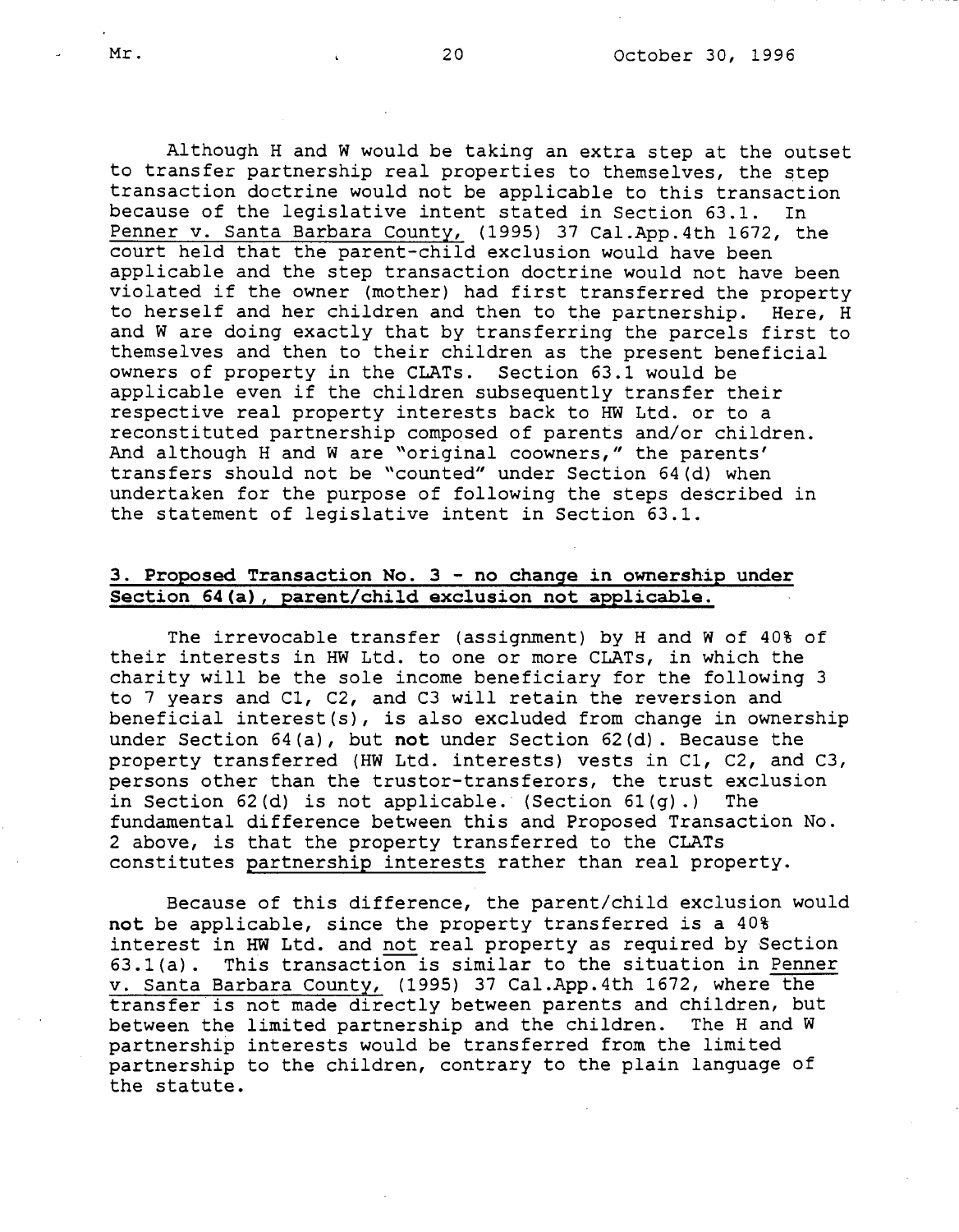Although Hand W would be taking an extra step at the outset to transfer partnership real properties to themselves, the step transaction doctrine would not be applicable to this transaction because of the legislative intent stated in Section 63.1. In Penner v. Santa Barbara County, (1995) 37 Cal.App.4th 1672, the court held that the parent-child exclusion would have been applicable and the step transaction doctrine would not have been violated if the owner (mother) had first transferred the property to herself and her children and then to the partnership. Here, H and Ware doing exactly that by transferring the parcels first to themselves and then to their children as the present beneficial owners of property in the CLATs. Section 63.1 would be applicable even if the children subsequently transfer their respective real property interests back to HW Ltd. or to a reconstituted partnership composed of parents and/or children. And although H and W are "original coowners," the parents' transfers should not be "counted" under Section 64(d) when undertaken for the purpose of following the steps described in the statement of legislative intent in Section 63.1.

## **3. Proposed Transaction No. 3** - **no change in ownership under Section 64(a), parent/child exclusion not applicable.**

The irrevocable transfer (assignment) by H and W of 40% of their interests in HW Ltd. to one or more CLATs, in which the charity will be the sole income beneficiary for the following 3 to 7 years and Cl, C2, and C3 will retain the reversion and beneficial interest(s), is also excluded from change in ownership under Section 64(a), but **not** under Section 62(d). Because the property transferred (HW Ltd. interests) vests in Cl, C2, and C3, persons other than the truster-transferors, the trust exclusion in Section 62(d) is not applicable. (Section  $61(q)$ .) The fundamental difference between this and Proposed Transaction No. 2 above, is that the property transferred to the CLATs constitutes partnership interests rather than real property.

Because of this difference, the parent/child exclusion would **not** be applicable, since the property transferred is a 40% interest in HW Ltd. and not real property as required by Section 63.l(a). This transaction is similar to the situation in Penner v. Santa Barbara County, (1995) 37 Cal.App.4th 1672, where the transfer is not made directly between parents and children, but between the limited partnership and the children. The Hand W partnership interests would be transferred from the limited partnership to the children, contrary to the plain language of the statute.